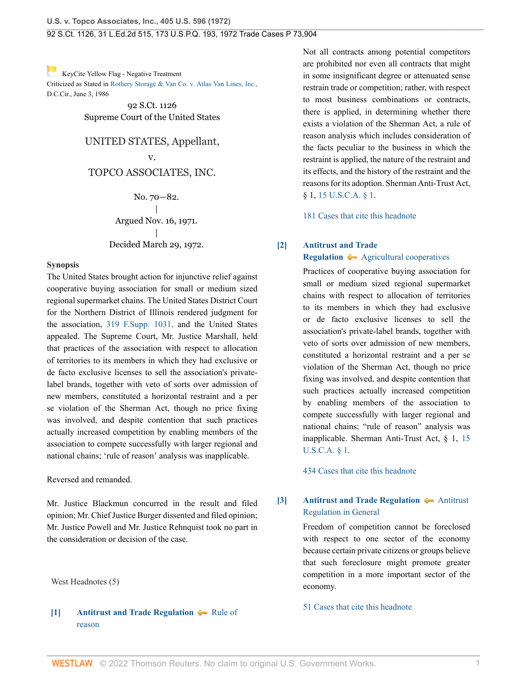[K](http://www.westlaw.com/Link/RelatedInformation/Flag?documentGuid=I1d232eab9c9711d993e6d35cc61aab4a&transitionType=Document&originationContext=docHeaderFlag&Rank=0&rs=cblt1.0&vr=3.0&contextData=(sc.UserEnteredCitation))eyCite Yellow Flag - Negative Treatment Criticized as Stated in [Rothery Storage & Van Co. v. Atlas Van Lines, Inc.,](https://www.westlaw.com/Document/Iaeb5e08094ca11d9bdd1cfdd544ca3a4/View/FullText.html?navigationPath=RelatedInfo%2Fv4%2Fkeycite%2Fnav%2F%3Fguid%3DIaeb5e08094ca11d9bdd1cfdd544ca3a4%26ss%3D1972127097%26ds%3D1986128418%26origDocGuid%3DI1d232eab9c9711d993e6d35cc61aab4a&listSource=RelatedInfo&list=NegativeCitingReferences&rank=0&ppcid=3a8b45b7fd6944d29cb0e68381e8b01e&originationContext=docHeader&transitionType=NegativeTreatment&contextData=%28sc.UserEnteredCitation%29&VR=3.0&RS=cblt1.0 ) D.C.Cir., June 3, 1986

> 92 S.Ct. 1126 Supreme Court of the United States

UNITED STATES, Appellant,

## v.

# TOPCO ASSOCIATES, INC.

No. 70—82. | Argued Nov. 16, 1971. | Decided March 29, 1972.

#### **Synopsis**

The United States brought action for injunctive relief against cooperative buying association for small or medium sized regional supermarket chains. The United States District Court for the Northern District of Illinois rendered judgment for the association, [319 F.Supp. 1031,](http://www.westlaw.com/Link/Document/FullText?findType=Y&serNum=1970115341&pubNum=345&originatingDoc=I1d232eab9c9711d993e6d35cc61aab4a&refType=RP&originationContext=document&vr=3.0&rs=cblt1.0&transitionType=DocumentItem&contextData=(sc.UserEnteredCitation)) and the United States appealed. The Supreme Court, Mr. Justice Marshall, held that practices of the association with respect to allocation of territories to its members in which they had exclusive or de facto exclusive licenses to sell the association's privatelabel brands, together with veto of sorts over admission of new members, constituted a horizontal restraint and a per se violation of the Sherman Act, though no price fixing was involved, and despite contention that such practices actually increased competition by enabling members of the association to compete successfully with larger regional and national chains; 'rule of reason' analysis was inapplicable.

Reversed and remanded.

Mr. Justice Blackmun concurred in the result and filed opinion; Mr. Chief Justice Burger dissented and filed opinion; Mr. Justice Powell and Mr. Justice Rehnquist took no part in the consideration or decision of the case.

West Headnotes (5)

# <span id="page-0-0"></span>**[\[1\]](#page-4-0) [Antitrust and Trade Regulation](http://www.westlaw.com/Browse/Home/KeyNumber/29T/View.html?docGuid=I1d232eab9c9711d993e6d35cc61aab4a&originationContext=document&vr=3.0&rs=cblt1.0&transitionType=DocumentItem&contextData=(sc.UserEnteredCitation))**  $\blacklozenge$  [Rule of](http://www.westlaw.com/Browse/Home/KeyNumber/29Tk535/View.html?docGuid=I1d232eab9c9711d993e6d35cc61aab4a&originationContext=document&vr=3.0&rs=cblt1.0&transitionType=DocumentItem&contextData=(sc.UserEnteredCitation)) [reason](http://www.westlaw.com/Browse/Home/KeyNumber/29Tk535/View.html?docGuid=I1d232eab9c9711d993e6d35cc61aab4a&originationContext=document&vr=3.0&rs=cblt1.0&transitionType=DocumentItem&contextData=(sc.UserEnteredCitation))

Not all contracts among potential competitors are prohibited nor even all contracts that might in some insignificant degree or attenuated sense restrain trade or competition; rather, with respect to most business combinations or contracts, there is applied, in determining whether there exists a violation of the Sherman Act, a rule of reason analysis which includes consideration of the facts peculiar to the business in which the restraint is applied, the nature of the restraint and its effects, and the history of the restraint and the reasons for its adoption. Sherman Anti-Trust Act, § 1, [15 U.S.C.A. § 1](http://www.westlaw.com/Link/Document/FullText?findType=L&pubNum=1000546&cite=15USCAS1&originatingDoc=I1d232eab9c9711d993e6d35cc61aab4a&refType=LQ&originationContext=document&vr=3.0&rs=cblt1.0&transitionType=DocumentItem&contextData=(sc.UserEnteredCitation)).

[181 Cases that cite this headnote](http://www.westlaw.com/Link/RelatedInformation/DocHeadnoteLink?docGuid=I1d232eab9c9711d993e6d35cc61aab4a&headnoteId=197212709750220140717192158&originationContext=document&vr=3.0&rs=cblt1.0&transitionType=CitingReferences&contextData=(sc.UserEnteredCitation))

## <span id="page-0-1"></span>**[\[2\]](#page-5-0) [Antitrust and Trade](http://www.westlaw.com/Browse/Home/KeyNumber/29T/View.html?docGuid=I1d232eab9c9711d993e6d35cc61aab4a&originationContext=document&vr=3.0&rs=cblt1.0&transitionType=DocumentItem&contextData=(sc.UserEnteredCitation))**

# **[Regulation](http://www.westlaw.com/Browse/Home/KeyNumber/29T/View.html?docGuid=I1d232eab9c9711d993e6d35cc61aab4a&originationContext=document&vr=3.0&rs=cblt1.0&transitionType=DocumentItem&contextData=(sc.UserEnteredCitation))**  $\rightarrow$  [Agricultural cooperatives](http://www.westlaw.com/Browse/Home/KeyNumber/29Tk921/View.html?docGuid=I1d232eab9c9711d993e6d35cc61aab4a&originationContext=document&vr=3.0&rs=cblt1.0&transitionType=DocumentItem&contextData=(sc.UserEnteredCitation))

Practices of cooperative buying association for small or medium sized regional supermarket chains with respect to allocation of territories to its members in which they had exclusive or de facto exclusive licenses to sell the association's private-label brands, together with veto of sorts over admission of new members, constituted a horizontal restraint and a per se violation of the Sherman Act, though no price fixing was involved, and despite contention that such practices actually increased competition by enabling members of the association to compete successfully with larger regional and national chains; "rule of reason" analysis was inapplicable. Sherman Anti-Trust Act, § 1, [15](http://www.westlaw.com/Link/Document/FullText?findType=L&pubNum=1000546&cite=15USCAS1&originatingDoc=I1d232eab9c9711d993e6d35cc61aab4a&refType=LQ&originationContext=document&vr=3.0&rs=cblt1.0&transitionType=DocumentItem&contextData=(sc.UserEnteredCitation)) [U.S.C.A. § 1](http://www.westlaw.com/Link/Document/FullText?findType=L&pubNum=1000546&cite=15USCAS1&originatingDoc=I1d232eab9c9711d993e6d35cc61aab4a&refType=LQ&originationContext=document&vr=3.0&rs=cblt1.0&transitionType=DocumentItem&contextData=(sc.UserEnteredCitation)).

[434 Cases that cite this headnote](http://www.westlaw.com/Link/RelatedInformation/DocHeadnoteLink?docGuid=I1d232eab9c9711d993e6d35cc61aab4a&headnoteId=197212709750320140717192158&originationContext=document&vr=3.0&rs=cblt1.0&transitionType=CitingReferences&contextData=(sc.UserEnteredCitation))

# <span id="page-0-2"></span>**[\[3\]](#page-5-1) [Antitrust and Trade Regulation](http://www.westlaw.com/Browse/Home/KeyNumber/29T/View.html?docGuid=I1d232eab9c9711d993e6d35cc61aab4a&originationContext=document&vr=3.0&rs=cblt1.0&transitionType=DocumentItem&contextData=(sc.UserEnteredCitation))**  $\bullet$  **[Antitrust](http://www.westlaw.com/Browse/Home/KeyNumber/29TVI/View.html?docGuid=I1d232eab9c9711d993e6d35cc61aab4a&originationContext=document&vr=3.0&rs=cblt1.0&transitionType=DocumentItem&contextData=(sc.UserEnteredCitation))** [Regulation in General](http://www.westlaw.com/Browse/Home/KeyNumber/29TVI/View.html?docGuid=I1d232eab9c9711d993e6d35cc61aab4a&originationContext=document&vr=3.0&rs=cblt1.0&transitionType=DocumentItem&contextData=(sc.UserEnteredCitation))

Freedom of competition cannot be foreclosed with respect to one sector of the economy because certain private citizens or groups believe that such foreclosure might promote greater competition in a more important sector of the economy.

[51 Cases that cite this headnote](http://www.westlaw.com/Link/RelatedInformation/DocHeadnoteLink?docGuid=I1d232eab9c9711d993e6d35cc61aab4a&headnoteId=197212709750120140717192158&originationContext=document&vr=3.0&rs=cblt1.0&transitionType=CitingReferences&contextData=(sc.UserEnteredCitation))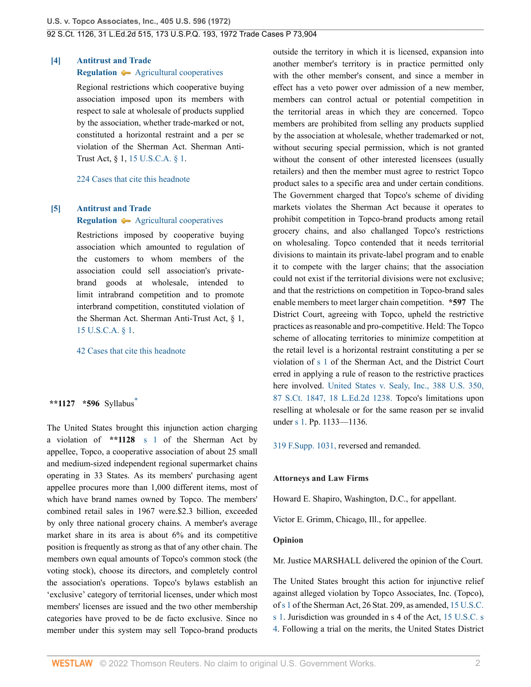#### <span id="page-1-0"></span>**[\[4\]](#page-6-0) [Antitrust and Trade](http://www.westlaw.com/Browse/Home/KeyNumber/29T/View.html?docGuid=I1d232eab9c9711d993e6d35cc61aab4a&originationContext=document&vr=3.0&rs=cblt1.0&transitionType=DocumentItem&contextData=(sc.UserEnteredCitation))**

#### **[Regulation](http://www.westlaw.com/Browse/Home/KeyNumber/29T/View.html?docGuid=I1d232eab9c9711d993e6d35cc61aab4a&originationContext=document&vr=3.0&rs=cblt1.0&transitionType=DocumentItem&contextData=(sc.UserEnteredCitation))**  $\rightarrow$  [Agricultural cooperatives](http://www.westlaw.com/Browse/Home/KeyNumber/29Tk921/View.html?docGuid=I1d232eab9c9711d993e6d35cc61aab4a&originationContext=document&vr=3.0&rs=cblt1.0&transitionType=DocumentItem&contextData=(sc.UserEnteredCitation))

Regional restrictions which cooperative buying association imposed upon its members with respect to sale at wholesale of products supplied by the association, whether trade-marked or not, constituted a horizontal restraint and a per se violation of the Sherman Act. Sherman Anti-Trust Act, § 1, [15 U.S.C.A. § 1.](http://www.westlaw.com/Link/Document/FullText?findType=L&pubNum=1000546&cite=15USCAS1&originatingDoc=I1d232eab9c9711d993e6d35cc61aab4a&refType=LQ&originationContext=document&vr=3.0&rs=cblt1.0&transitionType=DocumentItem&contextData=(sc.UserEnteredCitation))

[224 Cases that cite this headnote](http://www.westlaw.com/Link/RelatedInformation/DocHeadnoteLink?docGuid=I1d232eab9c9711d993e6d35cc61aab4a&headnoteId=197212709750420140717192158&originationContext=document&vr=3.0&rs=cblt1.0&transitionType=CitingReferences&contextData=(sc.UserEnteredCitation))

#### <span id="page-1-1"></span>**[\[5\]](#page-6-1) [Antitrust and Trade](http://www.westlaw.com/Browse/Home/KeyNumber/29T/View.html?docGuid=I1d232eab9c9711d993e6d35cc61aab4a&originationContext=document&vr=3.0&rs=cblt1.0&transitionType=DocumentItem&contextData=(sc.UserEnteredCitation))**

#### **[Regulation](http://www.westlaw.com/Browse/Home/KeyNumber/29T/View.html?docGuid=I1d232eab9c9711d993e6d35cc61aab4a&originationContext=document&vr=3.0&rs=cblt1.0&transitionType=DocumentItem&contextData=(sc.UserEnteredCitation))**  $\rightarrow$  [Agricultural cooperatives](http://www.westlaw.com/Browse/Home/KeyNumber/29Tk921/View.html?docGuid=I1d232eab9c9711d993e6d35cc61aab4a&originationContext=document&vr=3.0&rs=cblt1.0&transitionType=DocumentItem&contextData=(sc.UserEnteredCitation))

Restrictions imposed by cooperative buying association which amounted to regulation of the customers to whom members of the association could sell association's privatebrand goods at wholesale, intended to limit intrabrand competition and to promote interbrand competition, constituted violation of the Sherman Act. Sherman Anti-Trust Act, § 1, [15 U.S.C.A. § 1.](http://www.westlaw.com/Link/Document/FullText?findType=L&pubNum=1000546&cite=15USCAS1&originatingDoc=I1d232eab9c9711d993e6d35cc61aab4a&refType=LQ&originationContext=document&vr=3.0&rs=cblt1.0&transitionType=DocumentItem&contextData=(sc.UserEnteredCitation))

<span id="page-1-2"></span>[42 Cases that cite this headnote](http://www.westlaw.com/Link/RelatedInformation/DocHeadnoteLink?docGuid=I1d232eab9c9711d993e6d35cc61aab4a&headnoteId=197212709750520140717192158&originationContext=document&vr=3.0&rs=cblt1.0&transitionType=CitingReferences&contextData=(sc.UserEnteredCitation))

### **\*\*1127 \*596** Syllabus[\\*](#page-10-0)

The United States brought this injunction action charging a violation of **\*\*1128** [s 1](http://www.westlaw.com/Link/Document/FullText?findType=L&pubNum=1000546&cite=15USCAS1&originatingDoc=I1d232eab9c9711d993e6d35cc61aab4a&refType=LQ&originationContext=document&vr=3.0&rs=cblt1.0&transitionType=DocumentItem&contextData=(sc.UserEnteredCitation)) of the Sherman Act by appellee, Topco, a cooperative association of about 25 small and medium-sized independent regional supermarket chains operating in 33 States. As its members' purchasing agent appellee procures more than 1,000 different items, most of which have brand names owned by Topco. The members' combined retail sales in 1967 were.\$2.3 billion, exceeded by only three national grocery chains. A member's average market share in its area is about 6% and its competitive position is frequently as strong as that of any other chain. The members own equal amounts of Topco's common stock (the voting stock), choose its directors, and completely control the association's operations. Topco's bylaws establish an 'exclusive' category of territorial licenses, under which most members' licenses are issued and the two other membership categories have proved to be de facto exclusive. Since no member under this system may sell Topco-brand products

outside the territory in which it is licensed, expansion into another member's territory is in practice permitted only with the other member's consent, and since a member in effect has a veto power over admission of a new member, members can control actual or potential competition in the territorial areas in which they are concerned. Topco members are prohibited from selling any products supplied by the association at wholesale, whether trademarked or not, without securing special permission, which is not granted without the consent of other interested licensees (usually retailers) and then the member must agree to restrict Topco product sales to a specific area and under certain conditions. The Government charged that Topco's scheme of dividing markets violates the Sherman Act because it operates to prohibit competition in Topco-brand products among retail grocery chains, and also challanged Topco's restrictions on wholesaling. Topco contended that it needs territorial divisions to maintain its private-label program and to enable it to compete with the larger chains; that the association could not exist if the territorial divisions were not exclusive; and that the restrictions on competition in Topco-brand sales enable members to meet larger chain competition. **\*597** The District Court, agreeing with Topco, upheld the restrictive practices as reasonable and pro-competitive. Held: The Topco scheme of allocating territories to minimize competition at the retail level is a horizontal restraint constituting a per se violation of [s 1](http://www.westlaw.com/Link/Document/FullText?findType=L&pubNum=1000546&cite=15USCAS1&originatingDoc=I1d232eab9c9711d993e6d35cc61aab4a&refType=LQ&originationContext=document&vr=3.0&rs=cblt1.0&transitionType=DocumentItem&contextData=(sc.UserEnteredCitation)) of the Sherman Act, and the District Court erred in applying a rule of reason to the restrictive practices here involved. [United States v. Sealy, Inc., 388 U.S. 350,](http://www.westlaw.com/Link/Document/FullText?findType=Y&serNum=1967129544&pubNum=708&originatingDoc=I1d232eab9c9711d993e6d35cc61aab4a&refType=RP&originationContext=document&vr=3.0&rs=cblt1.0&transitionType=DocumentItem&contextData=(sc.UserEnteredCitation)) [87 S.Ct. 1847, 18 L.Ed.2d 1238.](http://www.westlaw.com/Link/Document/FullText?findType=Y&serNum=1967129544&pubNum=708&originatingDoc=I1d232eab9c9711d993e6d35cc61aab4a&refType=RP&originationContext=document&vr=3.0&rs=cblt1.0&transitionType=DocumentItem&contextData=(sc.UserEnteredCitation)) Topco's limitations upon reselling at wholesale or for the same reason per se invalid under [s 1.](http://www.westlaw.com/Link/Document/FullText?findType=L&pubNum=1000546&cite=15USCAS1&originatingDoc=I1d232eab9c9711d993e6d35cc61aab4a&refType=LQ&originationContext=document&vr=3.0&rs=cblt1.0&transitionType=DocumentItem&contextData=(sc.UserEnteredCitation)) Pp. 1133—1136.

[319 F.Supp. 1031,](http://www.westlaw.com/Link/Document/FullText?findType=Y&serNum=1970115341&pubNum=345&originatingDoc=I1d232eab9c9711d993e6d35cc61aab4a&refType=RP&originationContext=document&vr=3.0&rs=cblt1.0&transitionType=DocumentItem&contextData=(sc.UserEnteredCitation)) reversed and remanded.

#### **Attorneys and Law Firms**

Howard E. Shapiro, Washington, D.C., for appellant.

Victor E. Grimm, Chicago, Ill., for appellee.

#### **Opinion**

Mr. Justice MARSHALL delivered the opinion of the Court.

The United States brought this action for injunctive relief against alleged violation by Topco Associates, Inc. (Topco), of [s 1](http://www.westlaw.com/Link/Document/FullText?findType=L&pubNum=1000546&cite=15USCAS1&originatingDoc=I1d232eab9c9711d993e6d35cc61aab4a&refType=LQ&originationContext=document&vr=3.0&rs=cblt1.0&transitionType=DocumentItem&contextData=(sc.UserEnteredCitation)) of the Sherman Act, 26 Stat. 209, as amended, [15 U.S.C.](http://www.westlaw.com/Link/Document/FullText?findType=L&pubNum=1000546&cite=15USCAS1&originatingDoc=I1d232eab9c9711d993e6d35cc61aab4a&refType=LQ&originationContext=document&vr=3.0&rs=cblt1.0&transitionType=DocumentItem&contextData=(sc.UserEnteredCitation)) [s 1.](http://www.westlaw.com/Link/Document/FullText?findType=L&pubNum=1000546&cite=15USCAS1&originatingDoc=I1d232eab9c9711d993e6d35cc61aab4a&refType=LQ&originationContext=document&vr=3.0&rs=cblt1.0&transitionType=DocumentItem&contextData=(sc.UserEnteredCitation)) Jurisdiction was grounded in s 4 of the Act, [15 U.S.C. s](http://www.westlaw.com/Link/Document/FullText?findType=L&pubNum=1000546&cite=15USCAS4&originatingDoc=I1d232eab9c9711d993e6d35cc61aab4a&refType=LQ&originationContext=document&vr=3.0&rs=cblt1.0&transitionType=DocumentItem&contextData=(sc.UserEnteredCitation)) [4](http://www.westlaw.com/Link/Document/FullText?findType=L&pubNum=1000546&cite=15USCAS4&originatingDoc=I1d232eab9c9711d993e6d35cc61aab4a&refType=LQ&originationContext=document&vr=3.0&rs=cblt1.0&transitionType=DocumentItem&contextData=(sc.UserEnteredCitation)). Following a trial on the merits, the United States District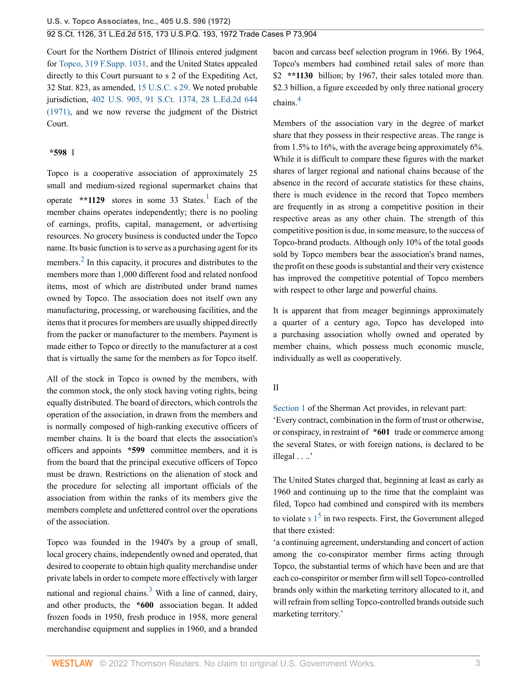Court for the Northern District of Illinois entered judgment for [Topco, 319 F.Supp. 1031,](http://www.westlaw.com/Link/Document/FullText?findType=Y&serNum=1970115341&pubNum=345&originatingDoc=I1d232eab9c9711d993e6d35cc61aab4a&refType=RP&originationContext=document&vr=3.0&rs=cblt1.0&transitionType=DocumentItem&contextData=(sc.UserEnteredCitation)) and the United States appealed directly to this Court pursuant to s 2 of the Expediting Act, 32 Stat. 823, as amended, [15 U.S.C. s 29.](http://www.westlaw.com/Link/Document/FullText?findType=L&pubNum=1000546&cite=15USCAS29&originatingDoc=I1d232eab9c9711d993e6d35cc61aab4a&refType=LQ&originationContext=document&vr=3.0&rs=cblt1.0&transitionType=DocumentItem&contextData=(sc.UserEnteredCitation)) We noted probable jurisdiction, [402 U.S. 905, 91 S.Ct. 1374, 28 L.Ed.2d 644](http://www.westlaw.com/Link/Document/FullText?findType=Y&serNum=1971242412&pubNum=708&originatingDoc=I1d232eab9c9711d993e6d35cc61aab4a&refType=RP&originationContext=document&vr=3.0&rs=cblt1.0&transitionType=DocumentItem&contextData=(sc.UserEnteredCitation)) [\(1971\),](http://www.westlaw.com/Link/Document/FullText?findType=Y&serNum=1971242412&pubNum=708&originatingDoc=I1d232eab9c9711d993e6d35cc61aab4a&refType=RP&originationContext=document&vr=3.0&rs=cblt1.0&transitionType=DocumentItem&contextData=(sc.UserEnteredCitation)) and we now reverse the judgment of the District Court.

# **\*598** I

<span id="page-2-1"></span>Topco is a cooperative association of approximately 25 small and medium-sized regional supermarket chains that operate \*\*[1](#page-10-1)129 stores in some 33 States.<sup>1</sup> Each of the member chains operates independently; there is no pooling of earnings, profits, capital, management, or advertising resources. No grocery business is conducted under the Topco name. Its basic function is to serve as a purchasing agent for its members. $2$  In this capacity, it procures and distributes to the members more than 1,000 different food and related nonfood items, most of which are distributed under brand names owned by Topco. The association does not itself own any manufacturing, processing, or warehousing facilities, and the items that it procures for members are usually shipped directly from the packer or manufacturer to the members. Payment is made either to Topco or directly to the manufacturer at a cost that is virtually the same for the members as for Topco itself.

All of the stock in Topco is owned by the members, with the common stock, the only stock having voting rights, being equally distributed. The board of directors, which controls the operation of the association, in drawn from the members and is normally composed of high-ranking executive officers of member chains. It is the board that elects the association's officers and appoints **\*599** committee members, and it is from the board that the principal executive officers of Topco must be drawn. Restrictions on the alienation of stock and the procedure for selecting all important officials of the association from within the ranks of its members give the members complete and unfettered control over the operations of the association.

<span id="page-2-2"></span>Topco was founded in the 1940's by a group of small, local grocery chains, independently owned and operated, that desired to cooperate to obtain high quality merchandise under private labels in order to compete more effectively with larger national and regional chains. $3$  With a line of canned, dairy, and other products, the **\*600** association began. It added frozen foods in 1950, fresh produce in 1958, more general merchandise equipment and supplies in 1960, and a branded bacon and carcass beef selection program in 1966. By 1964, Topco's members had combined retail sales of more than \$2 **\*\*1130** billion; by 1967, their sales totaled more than. \$2.3 billion, a figure exceeded by only three national grocery chains<sup>[4](#page-10-4)</sup>

<span id="page-2-3"></span><span id="page-2-0"></span>Members of the association vary in the degree of market share that they possess in their respective areas. The range is from 1.5% to 16%, with the average being approximately 6%. While it is difficult to compare these figures with the market shares of larger regional and national chains because of the absence in the record of accurate statistics for these chains, there is much evidence in the record that Topco members are frequently in as strong a competitive position in their respective areas as any other chain. The strength of this competitive position is due, in some measure, to the success of Topco-brand products. Although only 10% of the total goods sold by Topco members bear the association's brand names, the profit on these goods is substantial and their very existence has improved the competitive potential of Topco members with respect to other large and powerful chains.

It is apparent that from meager beginnings approximately a quarter of a century ago, Topco has developed into a purchasing association wholly owned and operated by member chains, which possess much economic muscle, individually as well as cooperatively.

### II

[Section 1](http://www.westlaw.com/Link/Document/FullText?findType=L&pubNum=1000546&cite=15USCAS1&originatingDoc=I1d232eab9c9711d993e6d35cc61aab4a&refType=LQ&originationContext=document&vr=3.0&rs=cblt1.0&transitionType=DocumentItem&contextData=(sc.UserEnteredCitation)) of the Sherman Act provides, in relevant part: 'Every contract, combination in the form of trust or otherwise, or conspiracy, in restraint of **\*601** trade or commerce among the several States, or with foreign nations, is declared to be illegal . . ..'

The United States charged that, beginning at least as early as 1960 and continuing up to the time that the complaint was filed, Topco had combined and conspired with its members to violate s  $1<sup>5</sup>$  $1<sup>5</sup>$  $1<sup>5</sup>$  in two respects. First, the Government alleged that there existed:

<span id="page-2-4"></span>'a continuing agreement, understanding and concert of action among the co-conspirator member firms acting through Topco, the substantial terms of which have been and are that each co-conspiritor or member firm will sell Topco-controlled brands only within the marketing territory allocated to it, and will refrain from selling Topco-controlled brands outside such marketing territory.'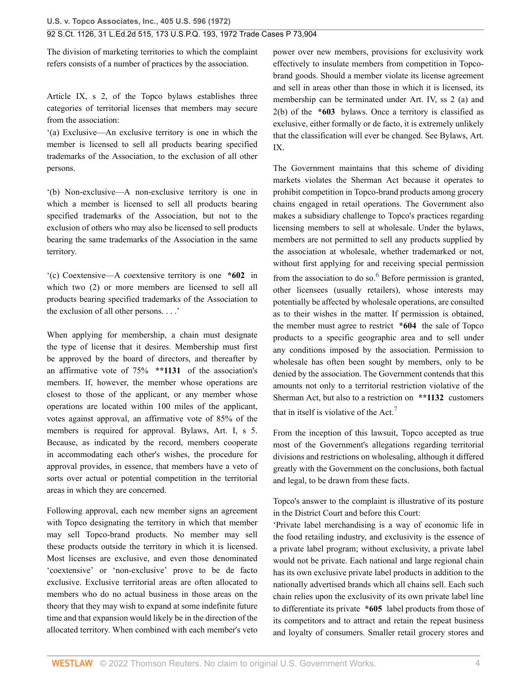The division of marketing territories to which the complaint refers consists of a number of practices by the association.

Article IX, s 2, of the Topco bylaws establishes three categories of territorial licenses that members may secure from the association:

'(a) Exclusive—An exclusive territory is one in which the member is licensed to sell all products bearing specified trademarks of the Association, to the exclusion of all other persons.

'(b) Non-exclusive—A non-exclusive territory is one in which a member is licensed to sell all products bearing specified trademarks of the Association, but not to the exclusion of others who may also be licensed to sell products bearing the same trademarks of the Association in the same territory.

'(c) Coextensive—A coextensive territory is one **\*602** in which two (2) or more members are licensed to sell all products bearing specified trademarks of the Association to the exclusion of all other persons. . . .'

When applying for membership, a chain must designate the type of license that it desires. Membership must first be approved by the board of directors, and thereafter by an affirmative vote of 75% **\*\*1131** of the association's members. If, however, the member whose operations are closest to those of the applicant, or any member whose operations are located within 100 miles of the applicant, votes against approval, an affirmative vote of 85% of the members is required for approval. Bylaws, Art. I, s 5. Because, as indicated by the record, members cooperate in accommodating each other's wishes, the procedure for approval provides, in essence, that members have a veto of sorts over actual or potential competition in the territorial areas in which they are concerned.

Following approval, each new member signs an agreement with Topco designating the territory in which that member may sell Topco-brand products. No member may sell these products outside the territory in which it is licensed. Most licenses are exclusive, and even those denominated 'coextensive' or 'non-exclusive' prove to be de facto exclusive. Exclusive territorial areas are often allocated to members who do no actual business in those areas on the theory that they may wish to expand at some indefinite future time and that expansion would likely be in the direction of the allocated territory. When combined with each member's veto

power over new members, provisions for exclusivity work effectively to insulate members from competition in Topcobrand goods. Should a member violate its license agreement and sell in areas other than those in which it is licensed, its membership can be terminated under Art. IV, ss 2 (a) and 2(b) of the **\*603** bylaws. Once a territory is classified as exclusive, either formally or de facto, it is extremely unlikely that the classification will ever be changed. See Bylaws, Art. IX.

<span id="page-3-0"></span>The Government maintains that this scheme of dividing markets violates the Sherman Act because it operates to prohibit competition in Topco-brand products among grocery chains engaged in retail operations. The Government also makes a subsidiary challenge to Topco's practices regarding licensing members to sell at wholesale. Under the bylaws, members are not permitted to sell any products supplied by the association at wholesale, whether trademarked or not, without first applying for and receiving special permission from the association to do so. $<sup>6</sup>$  $<sup>6</sup>$  $<sup>6</sup>$  Before permission is granted,</sup> other licensees (usually retailers), whose interests may potentially be affected by wholesale operations, are consulted as to their wishes in the matter. If permission is obtained, the member must agree to restrict **\*604** the sale of Topco products to a specific geographic area and to sell under any conditions imposed by the association. Permission to wholesale has often been sought by members, only to be denied by the association. The Government contends that this amounts not only to a territorial restriction violative of the Sherman Act, but also to a restriction on **\*\*1132** customers that in itself is violative of the  $Act.^{7}$  $Act.^{7}$  $Act.^{7}$ 

<span id="page-3-1"></span>From the inception of this lawsuit, Topco accepted as true most of the Government's allegations regarding territorial divisions and restrictions on wholesaling, although it differed greatly with the Government on the conclusions, both factual and legal, to be drawn from these facts.

Topco's answer to the complaint is illustrative of its posture in the District Court and before this Court:

'Private label merchandising is a way of economic life in the food retailing industry, and exclusivity is the essence of a private label program; without exclusivity, a private label would not be private. Each national and large regional chain has its own exclusive private label products in addition to the nationally advertised brands which all chains sell. Each such chain relies upon the exclusivity of its own private label line to differentiate its private **\*605** label products from those of its competitors and to attract and retain the repeat business and loyalty of consumers. Smaller retail grocery stores and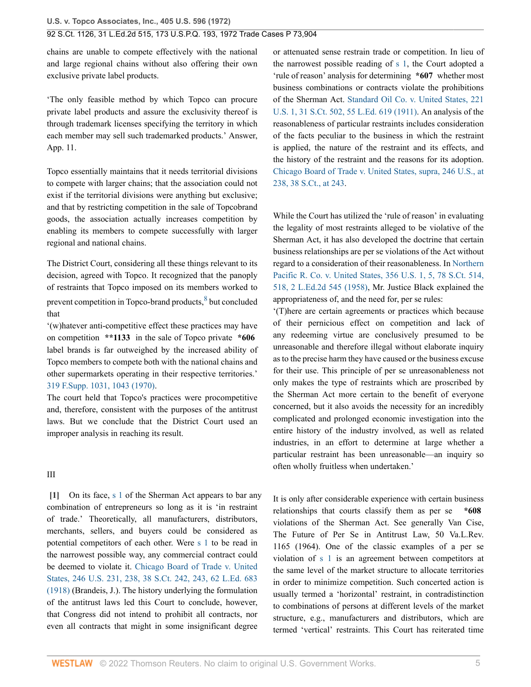chains are unable to compete effectively with the national and large regional chains without also offering their own exclusive private label products.

'The only feasible method by which Topco can procure private label products and assure the exclusivity thereof is through trademark licenses specifying the territory in which each member may sell such trademarked products.' Answer, App. 11.

Topco essentially maintains that it needs territorial divisions to compete with larger chains; that the association could not exist if the territorial divisions were anything but exclusive; and that by restricting competition in the sale of Topcobrand goods, the association actually increases competition by enabling its members to compete successfully with larger regional and national chains.

The District Court, considering all these things relevant to its decision, agreed with Topco. It recognized that the panoply of restraints that Topco imposed on its members worked to prevent competition in Topco-brand products, ${}^{8}$  ${}^{8}$  ${}^{8}$  but concluded that

'(w)hatever anti-competitive effect these practices may have on competition **\*\*1133** in the sale of Topco private **\*606** label brands is far outweighed by the increased ability of Topco members to compete both with the national chains and other supermarkets operating in their respective territories.' [319 F.Supp. 1031, 1043 \(1970\)](http://www.westlaw.com/Link/Document/FullText?findType=Y&serNum=1970115341&pubNum=345&originatingDoc=I1d232eab9c9711d993e6d35cc61aab4a&refType=RP&fi=co_pp_sp_345_1043&originationContext=document&vr=3.0&rs=cblt1.0&transitionType=DocumentItem&contextData=(sc.UserEnteredCitation)#co_pp_sp_345_1043).

The court held that Topco's practices were procompetitive and, therefore, consistent with the purposes of the antitrust laws. But we conclude that the District Court used an improper analysis in reaching its result.

## III

<span id="page-4-0"></span>**[\[1\]](#page-0-0)** On its face, [s 1](http://www.westlaw.com/Link/Document/FullText?findType=L&pubNum=1000546&cite=15USCAS1&originatingDoc=I1d232eab9c9711d993e6d35cc61aab4a&refType=LQ&originationContext=document&vr=3.0&rs=cblt1.0&transitionType=DocumentItem&contextData=(sc.UserEnteredCitation)) of the Sherman Act appears to bar any combination of entrepreneurs so long as it is 'in restraint of trade.' Theoretically, all manufacturers, distributors, merchants, sellers, and buyers could be considered as potential competitors of each other. Were [s 1](http://www.westlaw.com/Link/Document/FullText?findType=L&pubNum=1000546&cite=15USCAS1&originatingDoc=I1d232eab9c9711d993e6d35cc61aab4a&refType=LQ&originationContext=document&vr=3.0&rs=cblt1.0&transitionType=DocumentItem&contextData=(sc.UserEnteredCitation)) to be read in the narrowest possible way, any commercial contract could be deemed to violate it. [Chicago Board of Trade v. United](http://www.westlaw.com/Link/Document/FullText?findType=Y&serNum=1918100403&pubNum=708&originatingDoc=I1d232eab9c9711d993e6d35cc61aab4a&refType=RP&fi=co_pp_sp_708_243&originationContext=document&vr=3.0&rs=cblt1.0&transitionType=DocumentItem&contextData=(sc.UserEnteredCitation)#co_pp_sp_708_243) [States, 246 U.S. 231, 238, 38 S.Ct. 242, 243, 62 L.Ed. 683](http://www.westlaw.com/Link/Document/FullText?findType=Y&serNum=1918100403&pubNum=708&originatingDoc=I1d232eab9c9711d993e6d35cc61aab4a&refType=RP&fi=co_pp_sp_708_243&originationContext=document&vr=3.0&rs=cblt1.0&transitionType=DocumentItem&contextData=(sc.UserEnteredCitation)#co_pp_sp_708_243) [\(1918\)](http://www.westlaw.com/Link/Document/FullText?findType=Y&serNum=1918100403&pubNum=708&originatingDoc=I1d232eab9c9711d993e6d35cc61aab4a&refType=RP&fi=co_pp_sp_708_243&originationContext=document&vr=3.0&rs=cblt1.0&transitionType=DocumentItem&contextData=(sc.UserEnteredCitation)#co_pp_sp_708_243) (Brandeis, J.). The history underlying the formulation of the antitrust laws led this Court to conclude, however, that Congress did not intend to prohibit all contracts, nor even all contracts that might in some insignificant degree

or attenuated sense restrain trade or competition. In lieu of the narrowest possible reading of [s 1](http://www.westlaw.com/Link/Document/FullText?findType=L&pubNum=1000546&cite=15USCAS1&originatingDoc=I1d232eab9c9711d993e6d35cc61aab4a&refType=LQ&originationContext=document&vr=3.0&rs=cblt1.0&transitionType=DocumentItem&contextData=(sc.UserEnteredCitation)), the Court adopted a 'rule of reason' analysis for determining **\*607** whether most business combinations or contracts violate the prohibitions of the Sherman Act. [Standard Oil Co. v. United States, 221](http://www.westlaw.com/Link/Document/FullText?findType=Y&serNum=1911103501&pubNum=708&originatingDoc=I1d232eab9c9711d993e6d35cc61aab4a&refType=RP&originationContext=document&vr=3.0&rs=cblt1.0&transitionType=DocumentItem&contextData=(sc.UserEnteredCitation)) [U.S. 1, 31 S.Ct. 502, 55 L.Ed. 619 \(1911\).](http://www.westlaw.com/Link/Document/FullText?findType=Y&serNum=1911103501&pubNum=708&originatingDoc=I1d232eab9c9711d993e6d35cc61aab4a&refType=RP&originationContext=document&vr=3.0&rs=cblt1.0&transitionType=DocumentItem&contextData=(sc.UserEnteredCitation)) An analysis of the reasonableness of particular restraints includes consideration of the facts peculiar to the business in which the restraint is applied, the nature of the restraint and its effects, and the history of the restraint and the reasons for its adoption. [Chicago Board of Trade v. United States, supra, 246 U.S., at](http://www.westlaw.com/Link/Document/FullText?findType=Y&serNum=1918100403&pubNum=708&originatingDoc=I1d232eab9c9711d993e6d35cc61aab4a&refType=RP&fi=co_pp_sp_708_243&originationContext=document&vr=3.0&rs=cblt1.0&transitionType=DocumentItem&contextData=(sc.UserEnteredCitation)#co_pp_sp_708_243) [238, 38 S.Ct., at 243](http://www.westlaw.com/Link/Document/FullText?findType=Y&serNum=1918100403&pubNum=708&originatingDoc=I1d232eab9c9711d993e6d35cc61aab4a&refType=RP&fi=co_pp_sp_708_243&originationContext=document&vr=3.0&rs=cblt1.0&transitionType=DocumentItem&contextData=(sc.UserEnteredCitation)#co_pp_sp_708_243).

While the Court has utilized the 'rule of reason' in evaluating the legality of most restraints alleged to be violative of the Sherman Act, it has also developed the doctrine that certain business relationships are per se violations of the Act without regard to a consideration of their reasonableness. In [Northern](http://www.westlaw.com/Link/Document/FullText?findType=Y&serNum=1958121422&pubNum=708&originatingDoc=I1d232eab9c9711d993e6d35cc61aab4a&refType=RP&fi=co_pp_sp_708_518&originationContext=document&vr=3.0&rs=cblt1.0&transitionType=DocumentItem&contextData=(sc.UserEnteredCitation)#co_pp_sp_708_518) [Pacific R. Co. v. United States, 356 U.S. 1, 5, 78 S.Ct. 514,](http://www.westlaw.com/Link/Document/FullText?findType=Y&serNum=1958121422&pubNum=708&originatingDoc=I1d232eab9c9711d993e6d35cc61aab4a&refType=RP&fi=co_pp_sp_708_518&originationContext=document&vr=3.0&rs=cblt1.0&transitionType=DocumentItem&contextData=(sc.UserEnteredCitation)#co_pp_sp_708_518) [518, 2 L.Ed.2d 545 \(1958\)](http://www.westlaw.com/Link/Document/FullText?findType=Y&serNum=1958121422&pubNum=708&originatingDoc=I1d232eab9c9711d993e6d35cc61aab4a&refType=RP&fi=co_pp_sp_708_518&originationContext=document&vr=3.0&rs=cblt1.0&transitionType=DocumentItem&contextData=(sc.UserEnteredCitation)#co_pp_sp_708_518), Mr. Justice Black explained the appropriateness of, and the need for, per se rules:

<span id="page-4-1"></span>'(T)here are certain agreements or practices which because of their pernicious effect on competition and lack of any redeeming virtue are conclusively presumed to be unreasonable and therefore illegal without elaborate inquiry as to the precise harm they have caused or the business excuse for their use. This principle of per se unreasonableness not only makes the type of restraints which are proscribed by the Sherman Act more certain to the benefit of everyone concerned, but it also avoids the necessity for an incredibly complicated and prolonged economic investigation into the entire history of the industry involved, as well as related industries, in an effort to determine at large whether a particular restraint has been unreasonable—an inquiry so often wholly fruitless when undertaken.'

It is only after considerable experience with certain business relationships that courts classify them as per se **\*608** violations of the Sherman Act. See generally Van Cise, The Future of Per Se in Antitrust Law, 50 Va.L.Rev. 1165 (1964). One of the classic examples of a per se violation of [s 1](http://www.westlaw.com/Link/Document/FullText?findType=L&pubNum=1000546&cite=15USCAS1&originatingDoc=I1d232eab9c9711d993e6d35cc61aab4a&refType=LQ&originationContext=document&vr=3.0&rs=cblt1.0&transitionType=DocumentItem&contextData=(sc.UserEnteredCitation)) is an agreement between competitors at the same level of the market structure to allocate territories in order to minimize competition. Such concerted action is usually termed a 'horizontal' restraint, in contradistinction to combinations of persons at different levels of the market structure, e.g., manufacturers and distributors, which are termed 'vertical' restraints. This Court has reiterated time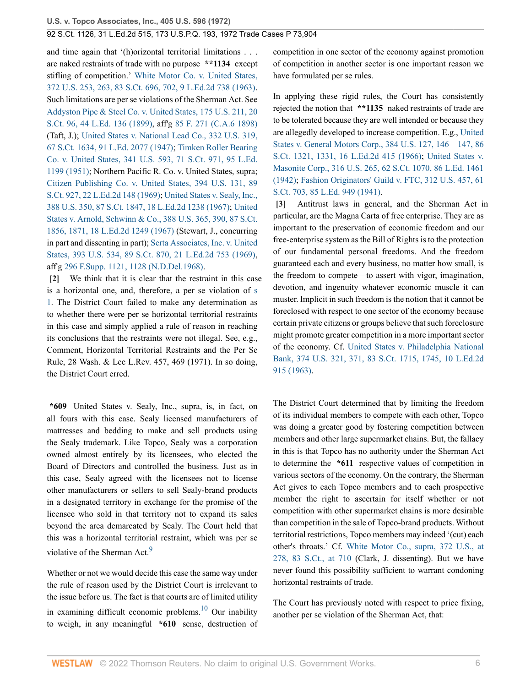and time again that '(h)orizontal territorial limitations . . . are naked restraints of trade with no purpose **\*\*1134** except stifling of competition.' [White Motor Co. v. United States,](http://www.westlaw.com/Link/Document/FullText?findType=Y&serNum=1963125308&pubNum=708&originatingDoc=I1d232eab9c9711d993e6d35cc61aab4a&refType=RP&fi=co_pp_sp_708_702&originationContext=document&vr=3.0&rs=cblt1.0&transitionType=DocumentItem&contextData=(sc.UserEnteredCitation)#co_pp_sp_708_702) [372 U.S. 253, 263, 83 S.Ct. 696, 702, 9 L.Ed.2d 738 \(1963\)](http://www.westlaw.com/Link/Document/FullText?findType=Y&serNum=1963125308&pubNum=708&originatingDoc=I1d232eab9c9711d993e6d35cc61aab4a&refType=RP&fi=co_pp_sp_708_702&originationContext=document&vr=3.0&rs=cblt1.0&transitionType=DocumentItem&contextData=(sc.UserEnteredCitation)#co_pp_sp_708_702). Such limitations are per se violations of the Sherman Act. See [Addyston Pipe & Steel Co. v. United States, 175 U.S. 211, 20](http://www.westlaw.com/Link/Document/FullText?findType=Y&serNum=1899180166&pubNum=708&originatingDoc=I1d232eab9c9711d993e6d35cc61aab4a&refType=RP&originationContext=document&vr=3.0&rs=cblt1.0&transitionType=DocumentItem&contextData=(sc.UserEnteredCitation)) [S.Ct. 96, 44 L.Ed. 136 \(1899\),](http://www.westlaw.com/Link/Document/FullText?findType=Y&serNum=1899180166&pubNum=708&originatingDoc=I1d232eab9c9711d993e6d35cc61aab4a&refType=RP&originationContext=document&vr=3.0&rs=cblt1.0&transitionType=DocumentItem&contextData=(sc.UserEnteredCitation)) aff'g [85 F. 271 \(C.A.6 1898\)](http://www.westlaw.com/Link/Document/FullText?findType=Y&serNum=1898146860&pubNum=348&originatingDoc=I1d232eab9c9711d993e6d35cc61aab4a&refType=RP&originationContext=document&vr=3.0&rs=cblt1.0&transitionType=DocumentItem&contextData=(sc.UserEnteredCitation)) (Taft, J.); [United States v. National Lead Co., 332 U.S. 319,](http://www.westlaw.com/Link/Document/FullText?findType=Y&serNum=1947117326&pubNum=708&originatingDoc=I1d232eab9c9711d993e6d35cc61aab4a&refType=RP&originationContext=document&vr=3.0&rs=cblt1.0&transitionType=DocumentItem&contextData=(sc.UserEnteredCitation)) [67 S.Ct. 1634, 91 L.Ed. 2077 \(1947\);](http://www.westlaw.com/Link/Document/FullText?findType=Y&serNum=1947117326&pubNum=708&originatingDoc=I1d232eab9c9711d993e6d35cc61aab4a&refType=RP&originationContext=document&vr=3.0&rs=cblt1.0&transitionType=DocumentItem&contextData=(sc.UserEnteredCitation)) [Timken Roller Bearing](http://www.westlaw.com/Link/Document/FullText?findType=Y&serNum=1951119636&pubNum=708&originatingDoc=I1d232eab9c9711d993e6d35cc61aab4a&refType=RP&originationContext=document&vr=3.0&rs=cblt1.0&transitionType=DocumentItem&contextData=(sc.UserEnteredCitation)) [Co. v. United States, 341 U.S. 593, 71 S.Ct. 971, 95 L.Ed.](http://www.westlaw.com/Link/Document/FullText?findType=Y&serNum=1951119636&pubNum=708&originatingDoc=I1d232eab9c9711d993e6d35cc61aab4a&refType=RP&originationContext=document&vr=3.0&rs=cblt1.0&transitionType=DocumentItem&contextData=(sc.UserEnteredCitation)) [1199 \(1951\);](http://www.westlaw.com/Link/Document/FullText?findType=Y&serNum=1951119636&pubNum=708&originatingDoc=I1d232eab9c9711d993e6d35cc61aab4a&refType=RP&originationContext=document&vr=3.0&rs=cblt1.0&transitionType=DocumentItem&contextData=(sc.UserEnteredCitation)) Northern Pacific R. Co. v. United States, supra; [Citizen Publishing Co. v. United States, 394 U.S. 131, 89](http://www.westlaw.com/Link/Document/FullText?findType=Y&serNum=1969132926&pubNum=708&originatingDoc=I1d232eab9c9711d993e6d35cc61aab4a&refType=RP&originationContext=document&vr=3.0&rs=cblt1.0&transitionType=DocumentItem&contextData=(sc.UserEnteredCitation)) [S.Ct. 927, 22 L.Ed.2d 148 \(1969\);](http://www.westlaw.com/Link/Document/FullText?findType=Y&serNum=1969132926&pubNum=708&originatingDoc=I1d232eab9c9711d993e6d35cc61aab4a&refType=RP&originationContext=document&vr=3.0&rs=cblt1.0&transitionType=DocumentItem&contextData=(sc.UserEnteredCitation)) [United States v. Sealy, Inc.,](http://www.westlaw.com/Link/Document/FullText?findType=Y&serNum=1967129544&pubNum=708&originatingDoc=I1d232eab9c9711d993e6d35cc61aab4a&refType=RP&originationContext=document&vr=3.0&rs=cblt1.0&transitionType=DocumentItem&contextData=(sc.UserEnteredCitation)) [388 U.S. 350, 87 S.Ct. 1847, 18 L.Ed.2d 1238 \(1967\);](http://www.westlaw.com/Link/Document/FullText?findType=Y&serNum=1967129544&pubNum=708&originatingDoc=I1d232eab9c9711d993e6d35cc61aab4a&refType=RP&originationContext=document&vr=3.0&rs=cblt1.0&transitionType=DocumentItem&contextData=(sc.UserEnteredCitation)) [United](http://www.westlaw.com/Link/Document/FullText?findType=Y&serNum=1967129545&pubNum=708&originatingDoc=I1d232eab9c9711d993e6d35cc61aab4a&refType=RP&fi=co_pp_sp_708_1871&originationContext=document&vr=3.0&rs=cblt1.0&transitionType=DocumentItem&contextData=(sc.UserEnteredCitation)#co_pp_sp_708_1871) [States v. Arnold, Schwinn & Co., 388 U.S. 365, 390, 87 S.Ct.](http://www.westlaw.com/Link/Document/FullText?findType=Y&serNum=1967129545&pubNum=708&originatingDoc=I1d232eab9c9711d993e6d35cc61aab4a&refType=RP&fi=co_pp_sp_708_1871&originationContext=document&vr=3.0&rs=cblt1.0&transitionType=DocumentItem&contextData=(sc.UserEnteredCitation)#co_pp_sp_708_1871) [1856, 1871, 18 L.Ed.2d 1249 \(1967\)](http://www.westlaw.com/Link/Document/FullText?findType=Y&serNum=1967129545&pubNum=708&originatingDoc=I1d232eab9c9711d993e6d35cc61aab4a&refType=RP&fi=co_pp_sp_708_1871&originationContext=document&vr=3.0&rs=cblt1.0&transitionType=DocumentItem&contextData=(sc.UserEnteredCitation)#co_pp_sp_708_1871) (Stewart, J., concurring in part and dissenting in part); [Serta Associates, Inc. v. United](http://www.westlaw.com/Link/Document/FullText?findType=Y&serNum=1969296096&pubNum=708&originatingDoc=I1d232eab9c9711d993e6d35cc61aab4a&refType=RP&originationContext=document&vr=3.0&rs=cblt1.0&transitionType=DocumentItem&contextData=(sc.UserEnteredCitation)) [States, 393 U.S. 534, 89 S.Ct. 870, 21 L.Ed.2d 753 \(1969\)](http://www.westlaw.com/Link/Document/FullText?findType=Y&serNum=1969296096&pubNum=708&originatingDoc=I1d232eab9c9711d993e6d35cc61aab4a&refType=RP&originationContext=document&vr=3.0&rs=cblt1.0&transitionType=DocumentItem&contextData=(sc.UserEnteredCitation)), aff'g [296 F.Supp. 1121, 1128 \(N.D.Del.1968\)](http://www.westlaw.com/Link/Document/FullText?findType=Y&serNum=1968115758&pubNum=345&originatingDoc=I1d232eab9c9711d993e6d35cc61aab4a&refType=RP&fi=co_pp_sp_345_1128&originationContext=document&vr=3.0&rs=cblt1.0&transitionType=DocumentItem&contextData=(sc.UserEnteredCitation)#co_pp_sp_345_1128).

<span id="page-5-0"></span>**[\[2\]](#page-0-1)** We think that it is clear that the restraint in this case is a horizontal one, and, therefore, a per se violation of [s](http://www.westlaw.com/Link/Document/FullText?findType=L&pubNum=1000546&cite=15USCAS1&originatingDoc=I1d232eab9c9711d993e6d35cc61aab4a&refType=LQ&originationContext=document&vr=3.0&rs=cblt1.0&transitionType=DocumentItem&contextData=(sc.UserEnteredCitation)) [1](http://www.westlaw.com/Link/Document/FullText?findType=L&pubNum=1000546&cite=15USCAS1&originatingDoc=I1d232eab9c9711d993e6d35cc61aab4a&refType=LQ&originationContext=document&vr=3.0&rs=cblt1.0&transitionType=DocumentItem&contextData=(sc.UserEnteredCitation)). The District Court failed to make any determination as to whether there were per se horizontal territorial restraints in this case and simply applied a rule of reason in reaching its conclusions that the restraints were not illegal. See, e.g., Comment, Horizontal Territorial Restraints and the Per Se Rule, 28 Wash. & Lee L.Rev. 457, 469 (1971). In so doing, the District Court erred.

**\*609** United States v. Sealy, Inc., supra, is, in fact, on all fours with this case. Sealy licensed manufacturers of mattresses and bedding to make and sell products using the Sealy trademark. Like Topco, Sealy was a corporation owned almost entirely by its licensees, who elected the Board of Directors and controlled the business. Just as in this case, Sealy agreed with the licensees not to license other manufacturers or sellers to sell Sealy-brand products in a designated territory in exchange for the promise of the licensee who sold in that territory not to expand its sales beyond the area demarcated by Sealy. The Court held that this was a horizontal territorial restraint, which was per se violative of the Sherman Act.<sup>[9](#page-11-1)</sup>

<span id="page-5-2"></span>Whether or not we would decide this case the same way under the rule of reason used by the District Court is irrelevant to the issue before us. The fact is that courts are of limited utility in examining difficult economic problems.<sup>[10](#page-11-2)</sup> Our inability to weigh, in any meaningful **\*610** sense, destruction of competition in one sector of the economy against promotion of competition in another sector is one important reason we have formulated per se rules.

In applying these rigid rules, the Court has consistently rejected the notion that **\*\*1135** naked restraints of trade are to be tolerated because they are well intended or because they are allegedly developed to increase competition. E.g., [United](http://www.westlaw.com/Link/Document/FullText?findType=Y&serNum=1966131558&pubNum=708&originatingDoc=I1d232eab9c9711d993e6d35cc61aab4a&refType=RP&fi=co_pp_sp_708_1331&originationContext=document&vr=3.0&rs=cblt1.0&transitionType=DocumentItem&contextData=(sc.UserEnteredCitation)#co_pp_sp_708_1331) [States v. General Motors Corp., 384 U.S. 127, 146—147, 86](http://www.westlaw.com/Link/Document/FullText?findType=Y&serNum=1966131558&pubNum=708&originatingDoc=I1d232eab9c9711d993e6d35cc61aab4a&refType=RP&fi=co_pp_sp_708_1331&originationContext=document&vr=3.0&rs=cblt1.0&transitionType=DocumentItem&contextData=(sc.UserEnteredCitation)#co_pp_sp_708_1331) [S.Ct. 1321, 1331, 16 L.Ed.2d 415 \(1966\)](http://www.westlaw.com/Link/Document/FullText?findType=Y&serNum=1966131558&pubNum=708&originatingDoc=I1d232eab9c9711d993e6d35cc61aab4a&refType=RP&fi=co_pp_sp_708_1331&originationContext=document&vr=3.0&rs=cblt1.0&transitionType=DocumentItem&contextData=(sc.UserEnteredCitation)#co_pp_sp_708_1331); [United States v.](http://www.westlaw.com/Link/Document/FullText?findType=Y&serNum=1942122930&pubNum=708&originatingDoc=I1d232eab9c9711d993e6d35cc61aab4a&refType=RP&originationContext=document&vr=3.0&rs=cblt1.0&transitionType=DocumentItem&contextData=(sc.UserEnteredCitation)) [Masonite Corp., 316 U.S. 265, 62 S.Ct. 1070, 86 L.Ed. 1461](http://www.westlaw.com/Link/Document/FullText?findType=Y&serNum=1942122930&pubNum=708&originatingDoc=I1d232eab9c9711d993e6d35cc61aab4a&refType=RP&originationContext=document&vr=3.0&rs=cblt1.0&transitionType=DocumentItem&contextData=(sc.UserEnteredCitation)) [\(1942\);](http://www.westlaw.com/Link/Document/FullText?findType=Y&serNum=1942122930&pubNum=708&originatingDoc=I1d232eab9c9711d993e6d35cc61aab4a&refType=RP&originationContext=document&vr=3.0&rs=cblt1.0&transitionType=DocumentItem&contextData=(sc.UserEnteredCitation)) [Fashion Originators' Guild v. FTC, 312 U.S. 457, 61](http://www.westlaw.com/Link/Document/FullText?findType=Y&serNum=1941124269&pubNum=708&originatingDoc=I1d232eab9c9711d993e6d35cc61aab4a&refType=RP&originationContext=document&vr=3.0&rs=cblt1.0&transitionType=DocumentItem&contextData=(sc.UserEnteredCitation)) [S.Ct. 703, 85 L.Ed. 949 \(1941\).](http://www.westlaw.com/Link/Document/FullText?findType=Y&serNum=1941124269&pubNum=708&originatingDoc=I1d232eab9c9711d993e6d35cc61aab4a&refType=RP&originationContext=document&vr=3.0&rs=cblt1.0&transitionType=DocumentItem&contextData=(sc.UserEnteredCitation))

<span id="page-5-1"></span>**[\[3\]](#page-0-2)** Antitrust laws in general, and the Sherman Act in particular, are the Magna Carta of free enterprise. They are as important to the preservation of economic freedom and our free-enterprise system as the Bill of Rights is to the protection of our fundamental personal freedoms. And the freedom guaranteed each and every business, no matter how small, is the freedom to compete—to assert with vigor, imagination, devotion, and ingenuity whatever economic muscle it can muster. Implicit in such freedom is the notion that it cannot be foreclosed with respect to one sector of the economy because certain private citizens or groups believe that such foreclosure might promote greater competition in a more important sector of the economy. Cf. [United States v. Philadelphia National](http://www.westlaw.com/Link/Document/FullText?findType=Y&serNum=1963125392&pubNum=708&originatingDoc=I1d232eab9c9711d993e6d35cc61aab4a&refType=RP&fi=co_pp_sp_708_1745&originationContext=document&vr=3.0&rs=cblt1.0&transitionType=DocumentItem&contextData=(sc.UserEnteredCitation)#co_pp_sp_708_1745) [Bank, 374 U.S. 321, 371, 83 S.Ct. 1715, 1745, 10 L.Ed.2d](http://www.westlaw.com/Link/Document/FullText?findType=Y&serNum=1963125392&pubNum=708&originatingDoc=I1d232eab9c9711d993e6d35cc61aab4a&refType=RP&fi=co_pp_sp_708_1745&originationContext=document&vr=3.0&rs=cblt1.0&transitionType=DocumentItem&contextData=(sc.UserEnteredCitation)#co_pp_sp_708_1745) [915 \(1963\)](http://www.westlaw.com/Link/Document/FullText?findType=Y&serNum=1963125392&pubNum=708&originatingDoc=I1d232eab9c9711d993e6d35cc61aab4a&refType=RP&fi=co_pp_sp_708_1745&originationContext=document&vr=3.0&rs=cblt1.0&transitionType=DocumentItem&contextData=(sc.UserEnteredCitation)#co_pp_sp_708_1745).

The District Court determined that by limiting the freedom of its individual members to compete with each other, Topco was doing a greater good by fostering competition between members and other large supermarket chains. But, the fallacy in this is that Topco has no authority under the Sherman Act to determine the **\*611** respective values of competition in various sectors of the economy. On the contrary, the Sherman Act gives to each Topco members and to each prospective member the right to ascertain for itself whether or not competition with other supermarket chains is more desirable than competition in the sale of Topco-brand products. Without territorial restrictions, Topco members may indeed '(cut) each other's throats.' Cf. [White Motor Co., supra, 372 U.S., at](http://www.westlaw.com/Link/Document/FullText?findType=Y&serNum=1963125308&pubNum=708&originatingDoc=I1d232eab9c9711d993e6d35cc61aab4a&refType=RP&fi=co_pp_sp_708_710&originationContext=document&vr=3.0&rs=cblt1.0&transitionType=DocumentItem&contextData=(sc.UserEnteredCitation)#co_pp_sp_708_710) [278, 83 S.Ct., at 710](http://www.westlaw.com/Link/Document/FullText?findType=Y&serNum=1963125308&pubNum=708&originatingDoc=I1d232eab9c9711d993e6d35cc61aab4a&refType=RP&fi=co_pp_sp_708_710&originationContext=document&vr=3.0&rs=cblt1.0&transitionType=DocumentItem&contextData=(sc.UserEnteredCitation)#co_pp_sp_708_710) (Clark, J. dissenting). But we have never found this possibility sufficient to warrant condoning horizontal restraints of trade.

<span id="page-5-3"></span>The Court has previously noted with respect to price fixing, another per se violation of the Sherman Act, that: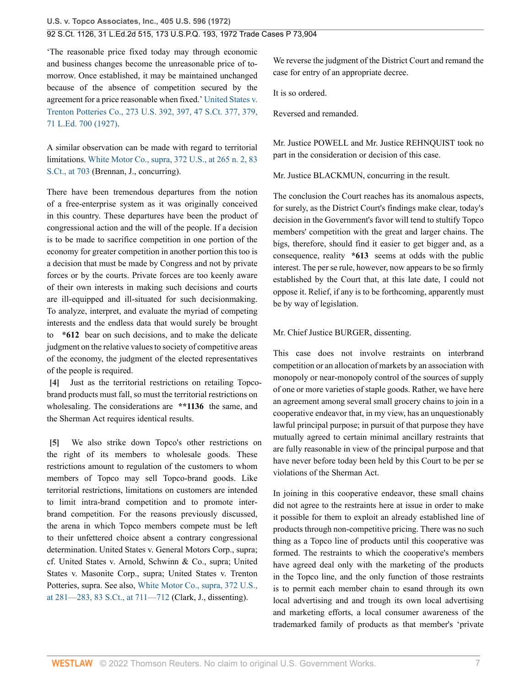'The reasonable price fixed today may through economic and business changes become the unreasonable price of tomorrow. Once established, it may be maintained unchanged because of the absence of competition secured by the agreement for a price reasonable when fixed.' [United States v.](http://www.westlaw.com/Link/Document/FullText?findType=Y&serNum=1927123531&pubNum=708&originatingDoc=I1d232eab9c9711d993e6d35cc61aab4a&refType=RP&fi=co_pp_sp_708_379&originationContext=document&vr=3.0&rs=cblt1.0&transitionType=DocumentItem&contextData=(sc.UserEnteredCitation)#co_pp_sp_708_379) [Trenton Potteries Co., 273 U.S. 392, 397, 47 S.Ct. 377, 379,](http://www.westlaw.com/Link/Document/FullText?findType=Y&serNum=1927123531&pubNum=708&originatingDoc=I1d232eab9c9711d993e6d35cc61aab4a&refType=RP&fi=co_pp_sp_708_379&originationContext=document&vr=3.0&rs=cblt1.0&transitionType=DocumentItem&contextData=(sc.UserEnteredCitation)#co_pp_sp_708_379) [71 L.Ed. 700 \(1927\)](http://www.westlaw.com/Link/Document/FullText?findType=Y&serNum=1927123531&pubNum=708&originatingDoc=I1d232eab9c9711d993e6d35cc61aab4a&refType=RP&fi=co_pp_sp_708_379&originationContext=document&vr=3.0&rs=cblt1.0&transitionType=DocumentItem&contextData=(sc.UserEnteredCitation)#co_pp_sp_708_379).

A similar observation can be made with regard to territorial limitations. [White Motor Co., supra, 372 U.S., at 265 n. 2, 83](http://www.westlaw.com/Link/Document/FullText?findType=Y&serNum=1963125308&pubNum=708&originatingDoc=I1d232eab9c9711d993e6d35cc61aab4a&refType=RP&fi=co_pp_sp_708_703&originationContext=document&vr=3.0&rs=cblt1.0&transitionType=DocumentItem&contextData=(sc.UserEnteredCitation)#co_pp_sp_708_703) [S.Ct., at 703](http://www.westlaw.com/Link/Document/FullText?findType=Y&serNum=1963125308&pubNum=708&originatingDoc=I1d232eab9c9711d993e6d35cc61aab4a&refType=RP&fi=co_pp_sp_708_703&originationContext=document&vr=3.0&rs=cblt1.0&transitionType=DocumentItem&contextData=(sc.UserEnteredCitation)#co_pp_sp_708_703) (Brennan, J., concurring).

There have been tremendous departures from the notion of a free-enterprise system as it was originally conceived in this country. These departures have been the product of congressional action and the will of the people. If a decision is to be made to sacrifice competition in one portion of the economy for greater competition in another portion this too is a decision that must be made by Congress and not by private forces or by the courts. Private forces are too keenly aware of their own interests in making such decisions and courts are ill-equipped and ill-situated for such decisionmaking. To analyze, interpret, and evaluate the myriad of competing interests and the endless data that would surely be brought to **\*612** bear on such decisions, and to make the delicate judgment on the relative values to society of competitive areas of the economy, the judgment of the elected representatives of the people is required.

<span id="page-6-0"></span>**[\[4\]](#page-1-0)** Just as the territorial restrictions on retailing Topcobrand products must fall, so must the territorial restrictions on wholesaling. The considerations are **\*\*1136** the same, and the Sherman Act requires identical results.

<span id="page-6-1"></span>**[\[5\]](#page-1-1)** We also strike down Topco's other restrictions on the right of its members to wholesale goods. These restrictions amount to regulation of the customers to whom members of Topco may sell Topco-brand goods. Like territorial restrictions, limitations on customers are intended to limit intra-brand competition and to promote interbrand competition. For the reasons previously discussed, the arena in which Topco members compete must be left to their unfettered choice absent a contrary congressional determination. United States v. General Motors Corp., supra; cf. United States v. Arnold, Schwinn & Co., supra; United States v. Masonite Corp., supra; United States v. Trenton Potteries, supra. See also, [White Motor Co., supra, 372 U.S.,](http://www.westlaw.com/Link/Document/FullText?findType=Y&serNum=1963125308&pubNum=708&originatingDoc=I1d232eab9c9711d993e6d35cc61aab4a&refType=RP&fi=co_pp_sp_708_711&originationContext=document&vr=3.0&rs=cblt1.0&transitionType=DocumentItem&contextData=(sc.UserEnteredCitation)#co_pp_sp_708_711) [at 281—283, 83 S.Ct., at 711—712](http://www.westlaw.com/Link/Document/FullText?findType=Y&serNum=1963125308&pubNum=708&originatingDoc=I1d232eab9c9711d993e6d35cc61aab4a&refType=RP&fi=co_pp_sp_708_711&originationContext=document&vr=3.0&rs=cblt1.0&transitionType=DocumentItem&contextData=(sc.UserEnteredCitation)#co_pp_sp_708_711) (Clark, J., dissenting).

We reverse the judgment of the District Court and remand the case for entry of an appropriate decree.

It is so ordered.

Reversed and remanded.

Mr. Justice POWELL and Mr. Justice REHNQUIST took no part in the consideration or decision of this case.

Mr. Justice BLACKMUN, concurring in the result.

The conclusion the Court reaches has its anomalous aspects, for surely, as the District Court's findings make clear, today's decision in the Government's favor will tend to stultify Topco members' competition with the great and larger chains. The bigs, therefore, should find it easier to get bigger and, as a consequence, reality **\*613** seems at odds with the public interest. The per se rule, however, now appears to be so firmly established by the Court that, at this late date, I could not oppose it. Relief, if any is to be forthcoming, apparently must be by way of legislation.

## Mr. Chief Justice BURGER, dissenting.

This case does not involve restraints on interbrand competition or an allocation of markets by an association with monopoly or near-monopoly control of the sources of supply of one or more varieties of staple goods. Rather, we have here an agreement among several small grocery chains to join in a cooperative endeavor that, in my view, has an unquestionably lawful principal purpose; in pursuit of that purpose they have mutually agreed to certain minimal ancillary restraints that are fully reasonable in view of the principal purpose and that have never before today been held by this Court to be per se violations of the Sherman Act.

In joining in this cooperative endeavor, these small chains did not agree to the restraints here at issue in order to make it possible for them to exploit an already established line of products through non-competitive pricing. There was no such thing as a Topco line of products until this cooperative was formed. The restraints to which the cooperative's members have agreed deal only with the marketing of the products in the Topco line, and the only function of those restraints is to permit each member chain to esand through its own local advertising and and trough its own local advertising and marketing efforts, a local consumer awareness of the trademarked family of products as that member's 'private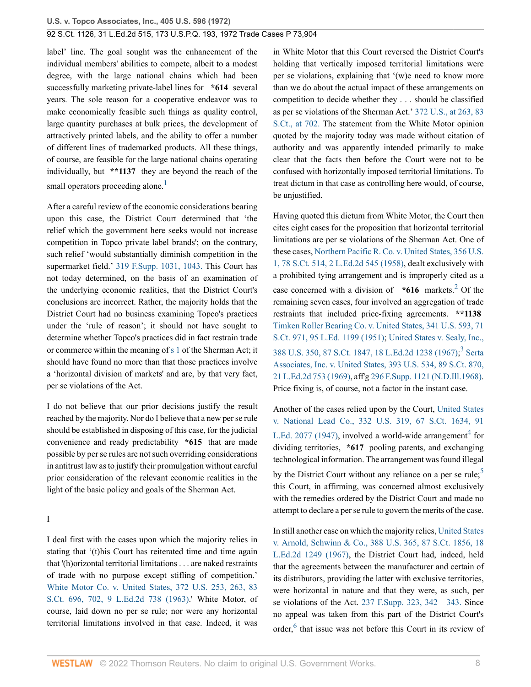label' line. The goal sought was the enhancement of the individual members' abilities to compete, albeit to a modest degree, with the large national chains which had been successfully marketing private-label lines for **\*614** several years. The sole reason for a cooperative endeavor was to make economically feasible such things as quality control, large quantity purchases at bulk prices, the development of attractively printed labels, and the ability to offer a number of different lines of trademarked products. All these things, of course, are feasible for the large national chains operating individually, but **\*\*1137** they are beyond the reach of the small operators proceeding alone.<sup>[1](#page-11-3)</sup>

After a careful review of the economic considerations bearing upon this case, the District Court determined that 'the relief which the government here seeks would not increase competition in Topco private label brands'; on the contrary, such relief 'would substantially diminish competition in the supermarket field.' [319 F.Supp. 1031, 1043.](http://www.westlaw.com/Link/Document/FullText?findType=Y&serNum=1970115341&pubNum=345&originatingDoc=I1d232eab9c9711d993e6d35cc61aab4a&refType=RP&fi=co_pp_sp_345_1043&originationContext=document&vr=3.0&rs=cblt1.0&transitionType=DocumentItem&contextData=(sc.UserEnteredCitation)#co_pp_sp_345_1043) This Court has not today determined, on the basis of an examination of the underlying economic realities, that the District Court's conclusions are incorrect. Rather, the majority holds that the District Court had no business examining Topco's practices under the 'rule of reason'; it should not have sought to determine whether Topco's practices did in fact restrain trade or commerce within the meaning of [s 1](http://www.westlaw.com/Link/Document/FullText?findType=L&pubNum=1000546&cite=15USCAS1&originatingDoc=I1d232eab9c9711d993e6d35cc61aab4a&refType=LQ&originationContext=document&vr=3.0&rs=cblt1.0&transitionType=DocumentItem&contextData=(sc.UserEnteredCitation)) of the Sherman Act; it should have found no more than that those practices involve a 'horizontal division of markets' and are, by that very fact, per se violations of the Act.

I do not believe that our prior decisions justify the result reached by the majority. Nor do I believe that a new per se rule should be established in disposing of this case, for the judicial convenience and ready predictability **\*615** that are made possible by per se rules are not such overriding considerations in antitrust law as to justify their promulgation without careful prior consideration of the relevant economic realities in the light of the basic policy and goals of the Sherman Act.

I

I deal first with the cases upon which the majority relies in stating that '(t)his Court has reiterated time and time again that '(h)orizontal territorial limitations . . . are naked restraints of trade with no purpose except stifling of competition.' [White Motor Co. v. United States, 372 U.S. 253, 263, 83](http://www.westlaw.com/Link/Document/FullText?findType=Y&serNum=1963125308&pubNum=708&originatingDoc=I1d232eab9c9711d993e6d35cc61aab4a&refType=RP&fi=co_pp_sp_708_702&originationContext=document&vr=3.0&rs=cblt1.0&transitionType=DocumentItem&contextData=(sc.UserEnteredCitation)#co_pp_sp_708_702) [S.Ct. 696, 702, 9 L.Ed.2d 738 \(1963\).](http://www.westlaw.com/Link/Document/FullText?findType=Y&serNum=1963125308&pubNum=708&originatingDoc=I1d232eab9c9711d993e6d35cc61aab4a&refType=RP&fi=co_pp_sp_708_702&originationContext=document&vr=3.0&rs=cblt1.0&transitionType=DocumentItem&contextData=(sc.UserEnteredCitation)#co_pp_sp_708_702)' White Motor, of course, laid down no per se rule; nor were any horizontal territorial limitations involved in that case. Indeed, it was

in White Motor that this Court reversed the District Court's holding that vertically imposed territorial limitations were per se violations, explaining that '(w)e need to know more than we do about the actual impact of these arrangements on competition to decide whether they . . . should be classified as per se violations of the Sherman Act.' [372 U.S., at 263, 83](http://www.westlaw.com/Link/Document/FullText?findType=Y&serNum=1963125308&pubNum=708&originatingDoc=I1d232eab9c9711d993e6d35cc61aab4a&refType=RP&fi=co_pp_sp_708_702&originationContext=document&vr=3.0&rs=cblt1.0&transitionType=DocumentItem&contextData=(sc.UserEnteredCitation)#co_pp_sp_708_702) [S.Ct., at 702.](http://www.westlaw.com/Link/Document/FullText?findType=Y&serNum=1963125308&pubNum=708&originatingDoc=I1d232eab9c9711d993e6d35cc61aab4a&refType=RP&fi=co_pp_sp_708_702&originationContext=document&vr=3.0&rs=cblt1.0&transitionType=DocumentItem&contextData=(sc.UserEnteredCitation)#co_pp_sp_708_702) The statement from the White Motor opinion quoted by the majority today was made without citation of authority and was apparently intended primarily to make clear that the facts then before the Court were not to be confused with horizontally imposed territorial limitations. To treat dictum in that case as controlling here would, of course, be unjustified.

<span id="page-7-1"></span><span id="page-7-0"></span>Having quoted this dictum from White Motor, the Court then cites eight cases for the proposition that horizontal territorial limitations are per se violations of the Sherman Act. One of these cases, [Northern Pacific R. Co. v. United States, 356 U.S.](http://www.westlaw.com/Link/Document/FullText?findType=Y&serNum=1958121422&pubNum=708&originatingDoc=I1d232eab9c9711d993e6d35cc61aab4a&refType=RP&originationContext=document&vr=3.0&rs=cblt1.0&transitionType=DocumentItem&contextData=(sc.UserEnteredCitation)) [1, 78 S.Ct. 514, 2 L.Ed.2d 545 \(1958\),](http://www.westlaw.com/Link/Document/FullText?findType=Y&serNum=1958121422&pubNum=708&originatingDoc=I1d232eab9c9711d993e6d35cc61aab4a&refType=RP&originationContext=document&vr=3.0&rs=cblt1.0&transitionType=DocumentItem&contextData=(sc.UserEnteredCitation)) dealt exclusively with a prohibited tying arrangement and is improperly cited as a case concerned with a division of  $*616$  markets.<sup>[2](#page-11-4)</sup> Of the remaining seven cases, four involved an aggregation of trade restraints that included price-fixing agreements. **\*\*1138** [Timken Roller Bearing Co. v. United States, 341 U.S. 593, 71](http://www.westlaw.com/Link/Document/FullText?findType=Y&serNum=1951119636&pubNum=708&originatingDoc=I1d232eab9c9711d993e6d35cc61aab4a&refType=RP&originationContext=document&vr=3.0&rs=cblt1.0&transitionType=DocumentItem&contextData=(sc.UserEnteredCitation)) [S.Ct. 971, 95 L.Ed. 1199 \(1951\)](http://www.westlaw.com/Link/Document/FullText?findType=Y&serNum=1951119636&pubNum=708&originatingDoc=I1d232eab9c9711d993e6d35cc61aab4a&refType=RP&originationContext=document&vr=3.0&rs=cblt1.0&transitionType=DocumentItem&contextData=(sc.UserEnteredCitation)); [United States v. Sealy, Inc.,](http://www.westlaw.com/Link/Document/FullText?findType=Y&serNum=1967129544&pubNum=708&originatingDoc=I1d232eab9c9711d993e6d35cc61aab4a&refType=RP&originationContext=document&vr=3.0&rs=cblt1.0&transitionType=DocumentItem&contextData=(sc.UserEnteredCitation)) [388 U.S. 350, 87 S.Ct. 1847, 18 L.Ed.2d 1238 \(1967\)](http://www.westlaw.com/Link/Document/FullText?findType=Y&serNum=1967129544&pubNum=708&originatingDoc=I1d232eab9c9711d993e6d35cc61aab4a&refType=RP&originationContext=document&vr=3.0&rs=cblt1.0&transitionType=DocumentItem&contextData=(sc.UserEnteredCitation));<sup>[3](#page-11-5)</sup> [Serta](http://www.westlaw.com/Link/Document/FullText?findType=Y&serNum=1969296096&pubNum=708&originatingDoc=I1d232eab9c9711d993e6d35cc61aab4a&refType=RP&originationContext=document&vr=3.0&rs=cblt1.0&transitionType=DocumentItem&contextData=(sc.UserEnteredCitation)) [Associates, Inc. v. United States, 393 U.S. 534, 89 S.Ct. 870,](http://www.westlaw.com/Link/Document/FullText?findType=Y&serNum=1969296096&pubNum=708&originatingDoc=I1d232eab9c9711d993e6d35cc61aab4a&refType=RP&originationContext=document&vr=3.0&rs=cblt1.0&transitionType=DocumentItem&contextData=(sc.UserEnteredCitation)) [21 L.Ed.2d 753 \(1969\)](http://www.westlaw.com/Link/Document/FullText?findType=Y&serNum=1969296096&pubNum=708&originatingDoc=I1d232eab9c9711d993e6d35cc61aab4a&refType=RP&originationContext=document&vr=3.0&rs=cblt1.0&transitionType=DocumentItem&contextData=(sc.UserEnteredCitation)), aff'g [296 F.Supp. 1121 \(N.D.Ill.1968\).](http://www.westlaw.com/Link/Document/FullText?findType=Y&serNum=1968115758&pubNum=345&originatingDoc=I1d232eab9c9711d993e6d35cc61aab4a&refType=RP&originationContext=document&vr=3.0&rs=cblt1.0&transitionType=DocumentItem&contextData=(sc.UserEnteredCitation)) Price fixing is, of course, not a factor in the instant case.

<span id="page-7-4"></span><span id="page-7-3"></span><span id="page-7-2"></span>Another of the cases relied upon by the Court, [United States](http://www.westlaw.com/Link/Document/FullText?findType=Y&serNum=1947117326&pubNum=708&originatingDoc=I1d232eab9c9711d993e6d35cc61aab4a&refType=RP&originationContext=document&vr=3.0&rs=cblt1.0&transitionType=DocumentItem&contextData=(sc.UserEnteredCitation)) [v. National Lead Co., 332 U.S. 319, 67 S.Ct. 1634, 91](http://www.westlaw.com/Link/Document/FullText?findType=Y&serNum=1947117326&pubNum=708&originatingDoc=I1d232eab9c9711d993e6d35cc61aab4a&refType=RP&originationContext=document&vr=3.0&rs=cblt1.0&transitionType=DocumentItem&contextData=(sc.UserEnteredCitation)) [L.Ed. 2077 \(1947\),](http://www.westlaw.com/Link/Document/FullText?findType=Y&serNum=1947117326&pubNum=708&originatingDoc=I1d232eab9c9711d993e6d35cc61aab4a&refType=RP&originationContext=document&vr=3.0&rs=cblt1.0&transitionType=DocumentItem&contextData=(sc.UserEnteredCitation)) involved a world-wide arrangement<sup>[4](#page-11-6)</sup> for dividing territories, **\*617** pooling patents, and exchanging technological information. The arrangement was found illegal by the District Court without any reliance on a per se rule;<sup>[5](#page-11-7)</sup> this Court, in affirming, was concerned almost exclusively with the remedies ordered by the District Court and made no attempt to declare a per se rule to govern the merits of the case.

<span id="page-7-5"></span>In still another case on which the majority relies, [United States](http://www.westlaw.com/Link/Document/FullText?findType=Y&serNum=1967129545&pubNum=708&originatingDoc=I1d232eab9c9711d993e6d35cc61aab4a&refType=RP&originationContext=document&vr=3.0&rs=cblt1.0&transitionType=DocumentItem&contextData=(sc.UserEnteredCitation)) [v. Arnold, Schwinn & Co., 388 U.S. 365, 87 S.Ct. 1856, 18](http://www.westlaw.com/Link/Document/FullText?findType=Y&serNum=1967129545&pubNum=708&originatingDoc=I1d232eab9c9711d993e6d35cc61aab4a&refType=RP&originationContext=document&vr=3.0&rs=cblt1.0&transitionType=DocumentItem&contextData=(sc.UserEnteredCitation)) [L.Ed.2d 1249 \(1967\)](http://www.westlaw.com/Link/Document/FullText?findType=Y&serNum=1967129545&pubNum=708&originatingDoc=I1d232eab9c9711d993e6d35cc61aab4a&refType=RP&originationContext=document&vr=3.0&rs=cblt1.0&transitionType=DocumentItem&contextData=(sc.UserEnteredCitation)), the District Court had, indeed, held that the agreements between the manufacturer and certain of its distributors, providing the latter with exclusive territories, were horizontal in nature and that they were, as such, per se violations of the Act. [237 F.Supp. 323, 342—343.](http://www.westlaw.com/Link/Document/FullText?findType=Y&serNum=1965109904&pubNum=345&originatingDoc=I1d232eab9c9711d993e6d35cc61aab4a&refType=RP&fi=co_pp_sp_345_342&originationContext=document&vr=3.0&rs=cblt1.0&transitionType=DocumentItem&contextData=(sc.UserEnteredCitation)#co_pp_sp_345_342) Since no appeal was taken from this part of the District Court's order,<sup>[6](#page-11-8)</sup> that issue was not before this Court in its review of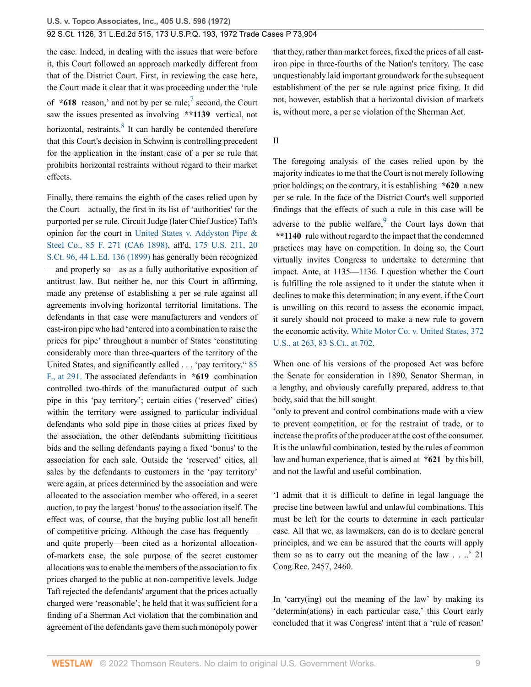<span id="page-8-1"></span>the case. Indeed, in dealing with the issues that were before it, this Court followed an approach markedly different from that of the District Court. First, in reviewing the case here, the Court made it clear that it was proceeding under the 'rule of  $*618$  reason,' and not by per se rule;<sup>[7](#page-12-0)</sup> second, the Court saw the issues presented as involving **\*\*1139** vertical, not horizontal, restraints. <sup>[8](#page-12-1)</sup> It can hardly be contended therefore that this Court's decision in Schwinn is controlling precedent for the application in the instant case of a per se rule that prohibits horizontal restraints without regard to their market effects.

Finally, there remains the eighth of the cases relied upon by the Court—actually, the first in its list of 'authorities' for the purported per se rule. Circuit Judge (later Chief Justice) Taft's opinion for the court in [United States v. Addyston Pipe &](http://www.westlaw.com/Link/Document/FullText?findType=Y&serNum=1898146860&pubNum=348&originatingDoc=I1d232eab9c9711d993e6d35cc61aab4a&refType=RP&originationContext=document&vr=3.0&rs=cblt1.0&transitionType=DocumentItem&contextData=(sc.UserEnteredCitation)) [Steel Co., 85 F. 271 \(CA6 1898\)](http://www.westlaw.com/Link/Document/FullText?findType=Y&serNum=1898146860&pubNum=348&originatingDoc=I1d232eab9c9711d993e6d35cc61aab4a&refType=RP&originationContext=document&vr=3.0&rs=cblt1.0&transitionType=DocumentItem&contextData=(sc.UserEnteredCitation)), aff'd, [175 U.S. 211, 20](http://www.westlaw.com/Link/Document/FullText?findType=Y&serNum=1899180166&pubNum=708&originatingDoc=I1d232eab9c9711d993e6d35cc61aab4a&refType=RP&originationContext=document&vr=3.0&rs=cblt1.0&transitionType=DocumentItem&contextData=(sc.UserEnteredCitation)) [S.Ct. 96, 44 L.Ed. 136 \(1899\)](http://www.westlaw.com/Link/Document/FullText?findType=Y&serNum=1899180166&pubNum=708&originatingDoc=I1d232eab9c9711d993e6d35cc61aab4a&refType=RP&originationContext=document&vr=3.0&rs=cblt1.0&transitionType=DocumentItem&contextData=(sc.UserEnteredCitation)) has generally been recognized —and properly so—as as a fully authoritative exposition of antitrust law. But neither he, nor this Court in affirming, made any pretense of establishing a per se rule against all agreements involving horizontal territorial limitations. The defendants in that case were manufacturers and vendors of cast-iron pipe who had 'entered into a combination to raise the prices for pipe' throughout a number of States 'constituting considerably more than three-quarters of the territory of the United States, and significantly called . . . 'pay territory." [85](http://www.westlaw.com/Link/Document/FullText?findType=Y&serNum=1898146860&pubNum=348&originatingDoc=I1d232eab9c9711d993e6d35cc61aab4a&refType=RP&fi=co_pp_sp_348_291&originationContext=document&vr=3.0&rs=cblt1.0&transitionType=DocumentItem&contextData=(sc.UserEnteredCitation)#co_pp_sp_348_291) [F., at 291.](http://www.westlaw.com/Link/Document/FullText?findType=Y&serNum=1898146860&pubNum=348&originatingDoc=I1d232eab9c9711d993e6d35cc61aab4a&refType=RP&fi=co_pp_sp_348_291&originationContext=document&vr=3.0&rs=cblt1.0&transitionType=DocumentItem&contextData=(sc.UserEnteredCitation)#co_pp_sp_348_291) The associated defendants in **\*619** combination controlled two-thirds of the manufactured output of such pipe in this 'pay territory'; certain cities ('reserved' cities) within the territory were assigned to particular individual defendants who sold pipe in those cities at prices fixed by the association, the other defendants submitting ficititious bids and the selling defendants paying a fixed 'bonus' to the association for each sale. Outside the 'reserved' cities, all sales by the defendants to customers in the 'pay territory' were again, at prices determined by the association and were allocated to the association member who offered, in a secret auction, to pay the largest 'bonus' to the association itself. The effect was, of course, that the buying public lost all benefit of competitive pricing. Although the case has frequently and quite properly—been cited as a horizontal allocationof-markets case, the sole purpose of the secret customer allocations was to enable the members of the association to fix prices charged to the public at non-competitive levels. Judge Taft rejected the defendants' argument that the prices actually charged were 'reasonable'; he held that it was sufficient for a finding of a Sherman Act violation that the combination and agreement of the defendants gave them such monopoly power

<span id="page-8-0"></span>that they, rather than market forces, fixed the prices of all castiron pipe in three-fourths of the Nation's territory. The case unquestionably laid important groundwork for the subsequent establishment of the per se rule against price fixing. It did not, however, establish that a horizontal division of markets is, without more, a per se violation of the Sherman Act.

#### II

<span id="page-8-2"></span>The foregoing analysis of the cases relied upon by the majority indicates to me that the Court is not merely following prior holdings; on the contrary, it is establishing **\*620** a new per se rule. In the face of the District Court's well supported findings that the effects of such a rule in this case will be adverse to the public welfare,  $9$  the Court lays down that **\*\*1140** rule without regard to the impact that the condemned practices may have on competition. In doing so, the Court virtually invites Congress to undertake to determine that impact. Ante, at 1135—1136. I question whether the Court is fulfilling the role assigned to it under the statute when it declines to make this determination; in any event, if the Court is unwilling on this record to assess the economic impact, it surely should not proceed to make a new rule to govern the economic activity. [White Motor Co. v. United States, 372](http://www.westlaw.com/Link/Document/FullText?findType=Y&serNum=1963125308&pubNum=708&originatingDoc=I1d232eab9c9711d993e6d35cc61aab4a&refType=RP&fi=co_pp_sp_708_702&originationContext=document&vr=3.0&rs=cblt1.0&transitionType=DocumentItem&contextData=(sc.UserEnteredCitation)#co_pp_sp_708_702) [U.S., at 263, 83 S.Ct., at 702.](http://www.westlaw.com/Link/Document/FullText?findType=Y&serNum=1963125308&pubNum=708&originatingDoc=I1d232eab9c9711d993e6d35cc61aab4a&refType=RP&fi=co_pp_sp_708_702&originationContext=document&vr=3.0&rs=cblt1.0&transitionType=DocumentItem&contextData=(sc.UserEnteredCitation)#co_pp_sp_708_702)

When one of his versions of the proposed Act was before the Senate for consideration in 1890, Senator Sherman, in a lengthy, and obviously carefully prepared, address to that body, said that the bill sought

'only to prevent and control combinations made with a view to prevent competition, or for the restraint of trade, or to increase the profits of the producer at the cost of the consumer. It is the unlawful combination, tested by the rules of common law and human experience, that is aimed at **\*621** by this bill, and not the lawful and useful combination.

'I admit that it is difficult to define in legal language the precise line between lawful and unlawful combinations. This must be left for the courts to determine in each particular case. All that we, as lawmakers, can do is to declare general principles, and we can be assured that the courts will apply them so as to carry out the meaning of the law . . ..' 21 Cong.Rec. 2457, 2460.

In 'carry(ing) out the meaning of the law' by making its 'determin(ations) in each particular case,' this Court early concluded that it was Congress' intent that a 'rule of reason'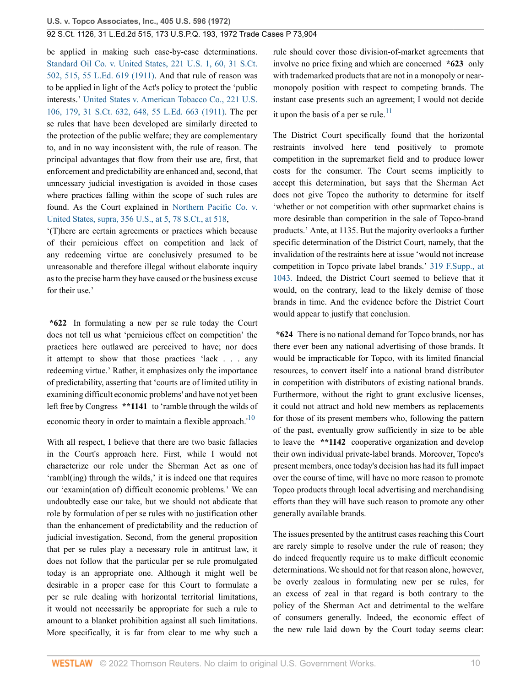be applied in making such case-by-case determinations. [Standard Oil Co. v. United States, 221 U.S. 1, 60, 31 S.Ct.](http://www.westlaw.com/Link/Document/FullText?findType=Y&serNum=1911103501&pubNum=708&originatingDoc=I1d232eab9c9711d993e6d35cc61aab4a&refType=RP&fi=co_pp_sp_708_515&originationContext=document&vr=3.0&rs=cblt1.0&transitionType=DocumentItem&contextData=(sc.UserEnteredCitation)#co_pp_sp_708_515) [502, 515, 55 L.Ed. 619 \(1911\)](http://www.westlaw.com/Link/Document/FullText?findType=Y&serNum=1911103501&pubNum=708&originatingDoc=I1d232eab9c9711d993e6d35cc61aab4a&refType=RP&fi=co_pp_sp_708_515&originationContext=document&vr=3.0&rs=cblt1.0&transitionType=DocumentItem&contextData=(sc.UserEnteredCitation)#co_pp_sp_708_515). And that rule of reason was to be applied in light of the Act's policy to protect the 'public interests.' [United States v. American Tobacco Co., 221 U.S.](http://www.westlaw.com/Link/Document/FullText?findType=Y&serNum=1911103389&pubNum=708&originatingDoc=I1d232eab9c9711d993e6d35cc61aab4a&refType=RP&fi=co_pp_sp_708_648&originationContext=document&vr=3.0&rs=cblt1.0&transitionType=DocumentItem&contextData=(sc.UserEnteredCitation)#co_pp_sp_708_648) [106, 179, 31 S.Ct. 632, 648, 55 L.Ed. 663 \(1911\)](http://www.westlaw.com/Link/Document/FullText?findType=Y&serNum=1911103389&pubNum=708&originatingDoc=I1d232eab9c9711d993e6d35cc61aab4a&refType=RP&fi=co_pp_sp_708_648&originationContext=document&vr=3.0&rs=cblt1.0&transitionType=DocumentItem&contextData=(sc.UserEnteredCitation)#co_pp_sp_708_648). The per se rules that have been developed are similarly directed to the protection of the public welfare; they are complementary to, and in no way inconsistent with, the rule of reason. The principal advantages that flow from their use are, first, that enforcement and predictability are enhanced and, second, that unncessary judicial investigation is avoided in those cases where practices falling within the scope of such rules are found. As the Court explained in [Northern Pacific Co. v.](http://www.westlaw.com/Link/Document/FullText?findType=Y&serNum=1958121422&pubNum=708&originatingDoc=I1d232eab9c9711d993e6d35cc61aab4a&refType=RP&fi=co_pp_sp_708_518&originationContext=document&vr=3.0&rs=cblt1.0&transitionType=DocumentItem&contextData=(sc.UserEnteredCitation)#co_pp_sp_708_518) [United States, supra, 356 U.S., at 5, 78 S.Ct., at 518](http://www.westlaw.com/Link/Document/FullText?findType=Y&serNum=1958121422&pubNum=708&originatingDoc=I1d232eab9c9711d993e6d35cc61aab4a&refType=RP&fi=co_pp_sp_708_518&originationContext=document&vr=3.0&rs=cblt1.0&transitionType=DocumentItem&contextData=(sc.UserEnteredCitation)#co_pp_sp_708_518),

'(T)here are certain agreements or practices which because of their pernicious effect on competition and lack of any redeeming virtue are conclusively presumed to be unreasonable and therefore illegal without elaborate inquiry as to the precise harm they have caused or the business excuse for their use.'

**\*622** In formulating a new per se rule today the Court does not tell us what 'pernicious effect on competition' the practices here outlawed are perceived to have; nor does it attempt to show that those practices 'lack . . . any redeeming virtue.' Rather, it emphasizes only the importance of predictability, asserting that 'courts are of limited utility in examining difficult economic problems' and have not yet been left free by Congress **\*\*1141** to 'ramble through the wilds of economic theory in order to maintain a flexible approach.<sup>[10](#page-12-3)</sup>

With all respect, I believe that there are two basic fallacies in the Court's approach here. First, while I would not characterize our role under the Sherman Act as one of 'rambl(ing) through the wilds,' it is indeed one that requires our 'examin(ation of) difficult economic problems.' We can undoubtedly ease our take, but we should not abdicate that role by formulation of per se rules with no justification other than the enhancement of predictability and the reduction of judicial investigation. Second, from the general proposition that per se rules play a necessary role in antitrust law, it does not follow that the particular per se rule promulgated today is an appropriate one. Although it might well be desirable in a proper case for this Court to formulate a per se rule dealing with horizontal territorial limitations, it would not necessarily be appropriate for such a rule to amount to a blanket prohibition against all such limitations. More specifically, it is far from clear to me why such a

rule should cover those division-of-market agreements that involve no price fixing and which are concerned **\*623** only with trademarked products that are not in a monopoly or nearmonopoly position with respect to competing brands. The instant case presents such an agreement; I would not decide it upon the basis of a per se rule.<sup>[11](#page-12-4)</sup>

<span id="page-9-1"></span>The District Court specifically found that the horizontal restraints involved here tend positively to promote competition in the supremarket field and to produce lower costs for the consumer. The Court seems implicitly to accept this determination, but says that the Sherman Act does not give Topco the authority to determine for itself 'whether or not competition with other suprmarket chains is more desirable than competition in the sale of Topco-brand products.' Ante, at 1135. But the majority overlooks a further specific determination of the District Court, namely, that the invalidation of the restraints here at issue 'would not increase competition in Topco private label brands.' [319 F.Supp., at](http://www.westlaw.com/Link/Document/FullText?findType=Y&serNum=1970115341&pubNum=345&originatingDoc=I1d232eab9c9711d993e6d35cc61aab4a&refType=RP&fi=co_pp_sp_345_1043&originationContext=document&vr=3.0&rs=cblt1.0&transitionType=DocumentItem&contextData=(sc.UserEnteredCitation)#co_pp_sp_345_1043) [1043.](http://www.westlaw.com/Link/Document/FullText?findType=Y&serNum=1970115341&pubNum=345&originatingDoc=I1d232eab9c9711d993e6d35cc61aab4a&refType=RP&fi=co_pp_sp_345_1043&originationContext=document&vr=3.0&rs=cblt1.0&transitionType=DocumentItem&contextData=(sc.UserEnteredCitation)#co_pp_sp_345_1043) Indeed, the District Court seemed to believe that it would, on the contrary, lead to the likely demise of those brands in time. And the evidence before the District Court would appear to justify that conclusion.

<span id="page-9-0"></span>**\*624** There is no national demand for Topco brands, nor has there ever been any national advertising of those brands. It would be impracticable for Topco, with its limited financial resources, to convert itself into a national brand distributor in competition with distributors of existing national brands. Furthermore, without the right to grant exclusive licenses, it could not attract and hold new members as replacements for those of its present members who, following the pattern of the past, eventually grow sufficiently in size to be able to leave the **\*\*1142** cooperative organization and develop their own individual private-label brands. Moreover, Topco's present members, once today's decision has had its full impact over the course of time, will have no more reason to promote Topco products through local advertising and merchandising efforts than they will have such reason to promote any other generally available brands.

The issues presented by the antitrust cases reaching this Court are rarely simple to resolve under the rule of reason; they do indeed frequently require us to make difficult economic determinations. We should not for that reason alone, however, be overly zealous in formulating new per se rules, for an excess of zeal in that regard is both contrary to the policy of the Sherman Act and detrimental to the welfare of consumers generally. Indeed, the economic effect of the new rule laid down by the Court today seems clear: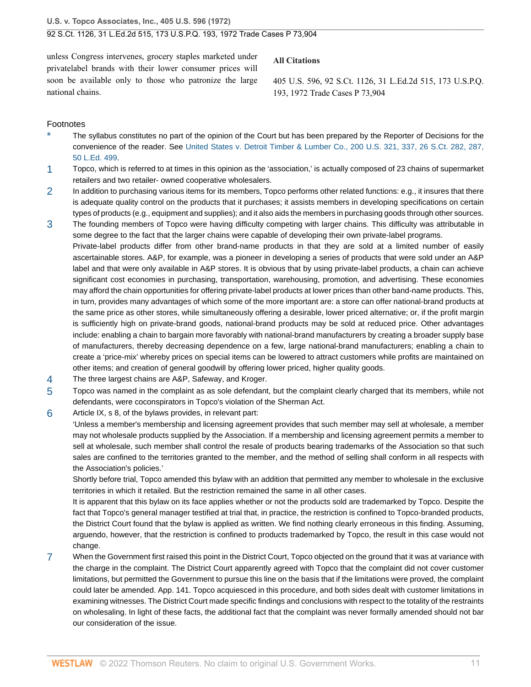unless Congress intervenes, grocery staples marketed under privatelabel brands with their lower consumer prices will soon be available only to those who patronize the large national chains.

## **All Citations**

405 U.S. 596, 92 S.Ct. 1126, 31 L.Ed.2d 515, 173 U.S.P.Q. 193, 1972 Trade Cases P 73,904

# **Footnotes**

- <span id="page-10-0"></span>The syllabus constitutes no part of the opinion of the Court but has been prepared by the Reporter of Decisions for the convenience of the reader. See [United States v. Detroit Timber & Lumber Co., 200 U.S. 321, 337, 26 S.Ct. 282, 287,](http://www.westlaw.com/Link/Document/FullText?findType=Y&serNum=1906101604&pubNum=708&originatingDoc=I1d232eab9c9711d993e6d35cc61aab4a&refType=RP&fi=co_pp_sp_708_287&originationContext=document&vr=3.0&rs=cblt1.0&transitionType=DocumentItem&contextData=(sc.UserEnteredCitation)#co_pp_sp_708_287) [50 L.Ed. 499](http://www.westlaw.com/Link/Document/FullText?findType=Y&serNum=1906101604&pubNum=708&originatingDoc=I1d232eab9c9711d993e6d35cc61aab4a&refType=RP&fi=co_pp_sp_708_287&originationContext=document&vr=3.0&rs=cblt1.0&transitionType=DocumentItem&contextData=(sc.UserEnteredCitation)#co_pp_sp_708_287).
- <span id="page-10-1"></span>[1](#page-2-0) Topco, which is referred to at times in this opinion as the 'association,' is actually composed of 23 chains of supermarket retailers and two retailer- owned cooperative wholesalers.
- <span id="page-10-2"></span>[2](#page-2-1) In addition to purchasing various items for its members, Topco performs other related functions: e.g., it insures that there is adequate quality control on the products that it purchases; it assists members in developing specifications on certain types of products (e.g., equipment and supplies); and it also aids the members in purchasing goods through other sources.
- <span id="page-10-3"></span>[3](#page-2-2) The founding members of Topco were having difficulty competing with larger chains. This difficulty was attributable in some degree to the fact that the larger chains were capable of developing their own private-label programs. Private-label products differ from other brand-name products in that they are sold at a limited number of easily ascertainable stores. A&P, for example, was a pioneer in developing a series of products that were sold under an A&P label and that were only available in A&P stores. It is obvious that by using private-label products, a chain can achieve significant cost economies in purchasing, transportation, warehousing, promotion, and advertising. These economies may afford the chain opportunities for offering private-label products at lower prices than other band-name products. This, in turn, provides many advantages of which some of the more important are: a store can offer national-brand products at the same price as other stores, while simultaneously offering a desirable, lower priced alternative; or, if the profit margin is sufficiently high on private-brand goods, national-brand products may be sold at reduced price. Other advantages include: enabling a chain to bargain more favorably with national-brand manufacturers by creating a broader supply base of manufacturers, thereby decreasing dependence on a few, large national-brand manufacturers; enabling a chain to create a 'price-mix' whereby prices on special items can be lowered to attract customers while profits are maintained on other items; and creation of general goodwill by offering lower priced, higher quality goods.
- <span id="page-10-4"></span>[4](#page-2-3) The three largest chains are A&P, Safeway, and Kroger.
- <span id="page-10-5"></span>[5](#page-2-4) Topco was named in the complaint as as sole defendant, but the complaint clearly charged that its members, while not defendants, were coconspirators in Topco's violation of the Sherman Act.
- <span id="page-10-6"></span>[6](#page-3-0) Article IX, s 8, of the bylaws provides, in relevant part:

'Unless a member's membership and licensing agreement provides that such member may sell at wholesale, a member may not wholesale products supplied by the Association. If a membership and licensing agreement permits a member to sell at wholesale, such member shall control the resale of products bearing trademarks of the Association so that such sales are confined to the territories granted to the member, and the method of selling shall conform in all respects with the Association's policies.'

Shortly before trial, Topco amended this bylaw with an addition that permitted any member to wholesale in the exclusive territories in which it retailed. But the restriction remained the same in all other cases.

It is apparent that this bylaw on its face applies whether or not the products sold are trademarked by Topco. Despite the fact that Topco's general manager testified at trial that, in practice, the restriction is confined to Topco-branded products, the District Court found that the bylaw is applied as written. We find nothing clearly erroneous in this finding. Assuming, arguendo, however, that the restriction is confined to products trademarked by Topco, the result in this case would not change.

<span id="page-10-7"></span>[7](#page-3-1) When the Government first raised this point in the District Court, Topco objected on the ground that it was at variance with the charge in the complaint. The District Court apparently agreed with Topco that the complaint did not cover customer limitations, but permitted the Government to pursue this line on the basis that if the limitations were proved, the complaint could later be amended. App. 141. Topco acquiesced in this procedure, and both sides dealt with customer limitations in examining witnesses. The District Court made specific findings and conclusions with respect to the totality of the restraints on wholesaling. In light of these facts, the additional fact that the complaint was never formally amended should not bar our consideration of the issue.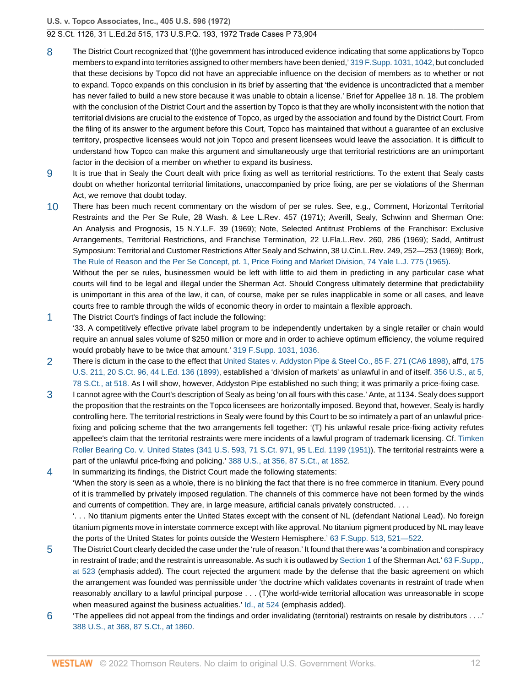- <span id="page-11-0"></span>[8](#page-4-1) The District Court recognized that '(t)he government has introduced evidence indicating that some applications by Topco members to expand into territories assigned to other members have been denied,' [319 F.Supp. 1031, 1042,](http://www.westlaw.com/Link/Document/FullText?findType=Y&serNum=1970115341&pubNum=345&originatingDoc=I1d232eab9c9711d993e6d35cc61aab4a&refType=RP&fi=co_pp_sp_345_1042&originationContext=document&vr=3.0&rs=cblt1.0&transitionType=DocumentItem&contextData=(sc.UserEnteredCitation)#co_pp_sp_345_1042) but concluded that these decisions by Topco did not have an appreciable influence on the decision of members as to whether or not to expand. Topco expands on this conclusion in its brief by asserting that 'the evidence is uncontradicted that a member has never failed to build a new store because it was unable to obtain a license.' Brief for Appellee 18 n. 18. The problem with the conclusion of the District Court and the assertion by Topco is that they are wholly inconsistent with the notion that territorial divisions are crucial to the existence of Topco, as urged by the association and found by the District Court. From the filing of its answer to the argument before this Court, Topco has maintained that without a guarantee of an exclusive territory, prospective licensees would not join Topco and present licensees would leave the association. It is difficult to understand how Topco can make this argument and simultaneously urge that territorial restrictions are an unimportant factor in the decision of a member on whether to expand its business.
- <span id="page-11-1"></span>[9](#page-5-2) It is true that in Sealy the Court dealt with price fixing as well as territorial restrictions. To the extent that Sealy casts doubt on whether horizontal territorial limitations, unaccompanied by price fixing, are per se violations of the Sherman Act, we remove that doubt today.
- <span id="page-11-2"></span>[10](#page-5-3) There has been much recent commentary on the wisdom of per se rules. See, e.g., Comment, Horizontal Territorial Restraints and the Per Se Rule, 28 Wash. & Lee L.Rev. 457 (1971); Averill, Sealy, Schwinn and Sherman One: An Analysis and Prognosis, 15 N.Y.L.F. 39 (1969); Note, Selected Antitrust Problems of the Franchisor: Exclusive Arrangements, Territorial Restrictions, and Franchise Termination, 22 U.Fla.L.Rev. 260, 286 (1969); Sadd, Antitrust Symposium: Territorial and Customer Restrictions After Sealy and Schwinn, 38 U.Cin.L.Rev. 249, 252—253 (1969); Bork, [The Rule of Reason and the Per Se Concept, pt. 1, Price Fixing and Market Division, 74 Yale L.J. 775 \(1965\)](http://www.westlaw.com/Link/Document/FullText?findType=Y&serNum=0332861359&pubNum=1292&originatingDoc=I1d232eab9c9711d993e6d35cc61aab4a&refType=LR&originationContext=document&vr=3.0&rs=cblt1.0&transitionType=DocumentItem&contextData=(sc.UserEnteredCitation)). Without the per se rules, businessmen would be left with little to aid them in predicting in any particular case what courts will find to be legal and illegal under the Sherman Act. Should Congress ultimately determine that predictability
- <span id="page-11-3"></span>courts free to ramble through the wilds of economic theory in order to maintain a flexible approach. [1](#page-7-0) The District Court's findings of fact include the following: '33. A competitively effective private label program to be independently undertaken by a single retailer or chain would require an annual sales volume of \$250 million or more and in order to achieve optimum efficiency, the volume required would probably have to be twice that amount.' [319 F.Supp. 1031, 1036.](http://www.westlaw.com/Link/Document/FullText?findType=Y&serNum=1970115341&pubNum=345&originatingDoc=I1d232eab9c9711d993e6d35cc61aab4a&refType=RP&fi=co_pp_sp_345_1036&originationContext=document&vr=3.0&rs=cblt1.0&transitionType=DocumentItem&contextData=(sc.UserEnteredCitation)#co_pp_sp_345_1036)

is unimportant in this area of the law, it can, of course, make per se rules inapplicable in some or all cases, and leave

- <span id="page-11-4"></span>[2](#page-7-1) There is dictum in the case to the effect that [United States v. Addyston Pipe & Steel Co., 85 F. 271 \(CA6 1898\),](http://www.westlaw.com/Link/Document/FullText?findType=Y&serNum=1898146860&pubNum=348&originatingDoc=I1d232eab9c9711d993e6d35cc61aab4a&refType=RP&originationContext=document&vr=3.0&rs=cblt1.0&transitionType=DocumentItem&contextData=(sc.UserEnteredCitation)) aff'd, [175](http://www.westlaw.com/Link/Document/FullText?findType=Y&serNum=1899180166&pubNum=708&originatingDoc=I1d232eab9c9711d993e6d35cc61aab4a&refType=RP&originationContext=document&vr=3.0&rs=cblt1.0&transitionType=DocumentItem&contextData=(sc.UserEnteredCitation)) [U.S. 211, 20 S.Ct. 96, 44 L.Ed. 136 \(1899\),](http://www.westlaw.com/Link/Document/FullText?findType=Y&serNum=1899180166&pubNum=708&originatingDoc=I1d232eab9c9711d993e6d35cc61aab4a&refType=RP&originationContext=document&vr=3.0&rs=cblt1.0&transitionType=DocumentItem&contextData=(sc.UserEnteredCitation)) established a 'division of markets' as unlawful in and of itself. [356 U.S., at 5,](http://www.westlaw.com/Link/Document/FullText?findType=Y&serNum=1958121422&pubNum=708&originatingDoc=I1d232eab9c9711d993e6d35cc61aab4a&refType=RP&fi=co_pp_sp_708_518&originationContext=document&vr=3.0&rs=cblt1.0&transitionType=DocumentItem&contextData=(sc.UserEnteredCitation)#co_pp_sp_708_518) [78 S.Ct., at 518.](http://www.westlaw.com/Link/Document/FullText?findType=Y&serNum=1958121422&pubNum=708&originatingDoc=I1d232eab9c9711d993e6d35cc61aab4a&refType=RP&fi=co_pp_sp_708_518&originationContext=document&vr=3.0&rs=cblt1.0&transitionType=DocumentItem&contextData=(sc.UserEnteredCitation)#co_pp_sp_708_518) As I will show, however, Addyston Pipe established no such thing; it was primarily a price-fixing case.
- <span id="page-11-5"></span>[3](#page-7-2) I cannot agree with the Court's description of Sealy as being 'on all fours with this case.' Ante, at 1134. Sealy does support the proposition that the restraints on the Topco licensees are horizontally imposed. Beyond that, however, Sealy is hardly controlling here. The territorial restrictions in Sealy were found by this Court to be so intimately a part of an unlawful pricefixing and policing scheme that the two arrangements fell together: '(T) his unlawful resale price-fixing activity refutes appellee's claim that the territorial restraints were mere incidents of a lawful program of trademark licensing. Cf. [Timken](http://www.westlaw.com/Link/Document/FullText?findType=Y&serNum=1951119636&pubNum=708&originatingDoc=I1d232eab9c9711d993e6d35cc61aab4a&refType=RP&originationContext=document&vr=3.0&rs=cblt1.0&transitionType=DocumentItem&contextData=(sc.UserEnteredCitation)) [Roller Bearing Co. v. United States \(341 U.S. 593, 71 S.Ct. 971, 95 L.Ed. 1199 \(1951\)\)](http://www.westlaw.com/Link/Document/FullText?findType=Y&serNum=1951119636&pubNum=708&originatingDoc=I1d232eab9c9711d993e6d35cc61aab4a&refType=RP&originationContext=document&vr=3.0&rs=cblt1.0&transitionType=DocumentItem&contextData=(sc.UserEnteredCitation)). The territorial restraints were a part of the unlawful price-fixing and policing.' [388 U.S., at 356, 87 S.Ct., at 1852](http://www.westlaw.com/Link/Document/FullText?findType=Y&serNum=1967129544&pubNum=708&originatingDoc=I1d232eab9c9711d993e6d35cc61aab4a&refType=RP&fi=co_pp_sp_708_1852&originationContext=document&vr=3.0&rs=cblt1.0&transitionType=DocumentItem&contextData=(sc.UserEnteredCitation)#co_pp_sp_708_1852).

<span id="page-11-6"></span>[4](#page-7-3) In summarizing its findings, the District Court made the following statements: 'When the story is seen as a whole, there is no blinking the fact that there is no free commerce in titanium. Every pound of it is trammelled by privately imposed regulation. The channels of this commerce have not been formed by the winds and currents of competition. They are, in large measure, artificial canals privately constructed. . . .

'. . . No titanium pigments enter the United States except with the consent of NL (defendant National Lead). No foreign titanium pigments move in interstate commerce except with like approval. No titanium pigment produced by NL may leave the ports of the United States for points outside the Western Hemisphere.' [63 F.Supp. 513, 521—522](http://www.westlaw.com/Link/Document/FullText?findType=Y&serNum=1946115601&pubNum=345&originatingDoc=I1d232eab9c9711d993e6d35cc61aab4a&refType=RP&fi=co_pp_sp_345_521&originationContext=document&vr=3.0&rs=cblt1.0&transitionType=DocumentItem&contextData=(sc.UserEnteredCitation)#co_pp_sp_345_521).

- <span id="page-11-7"></span>[5](#page-7-4) The District Court clearly decided the case under the 'rule of reason.' It found that there was 'a combination and conspiracy in restraint of trade; and the restraint is unreasonable. As such it is outlawed by [Section 1](http://www.westlaw.com/Link/Document/FullText?findType=L&pubNum=1000546&cite=15USCAS1&originatingDoc=I1d232eab9c9711d993e6d35cc61aab4a&refType=LQ&originationContext=document&vr=3.0&rs=cblt1.0&transitionType=DocumentItem&contextData=(sc.UserEnteredCitation)) of the Sherman Act.' [63 F.Supp.,](http://www.westlaw.com/Link/Document/FullText?findType=Y&serNum=1946115601&pubNum=345&originatingDoc=I1d232eab9c9711d993e6d35cc61aab4a&refType=RP&fi=co_pp_sp_345_523&originationContext=document&vr=3.0&rs=cblt1.0&transitionType=DocumentItem&contextData=(sc.UserEnteredCitation)#co_pp_sp_345_523) [at 523](http://www.westlaw.com/Link/Document/FullText?findType=Y&serNum=1946115601&pubNum=345&originatingDoc=I1d232eab9c9711d993e6d35cc61aab4a&refType=RP&fi=co_pp_sp_345_523&originationContext=document&vr=3.0&rs=cblt1.0&transitionType=DocumentItem&contextData=(sc.UserEnteredCitation)#co_pp_sp_345_523) (emphasis added). The court rejected the argument made by the defense that the basic agreement on which the arrangement was founded was permissible under 'the doctrine which validates covenants in restraint of trade when reasonably ancillary to a lawful principal purpose . . . (T)he world-wide territorial allocation was unreasonable in scope when measured against the business actualities.' [Id., at 524](http://www.westlaw.com/Link/Document/FullText?findType=Y&serNum=1946115601&originatingDoc=I1d232eab9c9711d993e6d35cc61aab4a&refType=RP&originationContext=document&vr=3.0&rs=cblt1.0&transitionType=DocumentItem&contextData=(sc.UserEnteredCitation)) (emphasis added).
- <span id="page-11-8"></span>[6](#page-7-5) 'The appellees did not appeal from the findings and order invalidating (territorial) restraints on resale by distributors . . ..' [388 U.S., at 368, 87 S.Ct., at 1860.](http://www.westlaw.com/Link/Document/FullText?findType=Y&serNum=1967129545&pubNum=708&originatingDoc=I1d232eab9c9711d993e6d35cc61aab4a&refType=RP&fi=co_pp_sp_708_1860&originationContext=document&vr=3.0&rs=cblt1.0&transitionType=DocumentItem&contextData=(sc.UserEnteredCitation)#co_pp_sp_708_1860)